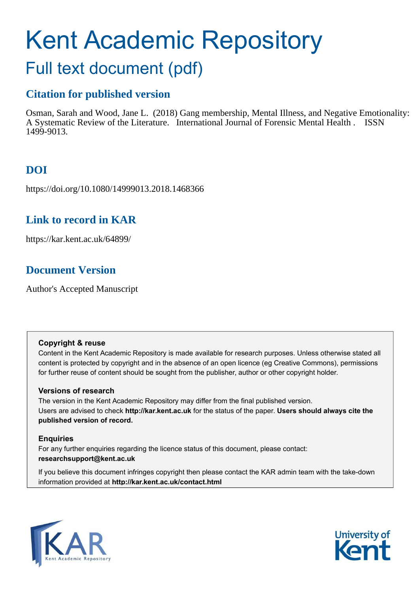# Kent Academic Repository

## Full text document (pdf)

## **Citation for published version**

Osman, Sarah and Wood, Jane L. (2018) Gang membership, Mental Illness, and Negative Emotionality: A Systematic Review of the Literature. International Journal of Forensic Mental Health . ISSN 1499-9013.

## **DOI**

https://doi.org/10.1080/14999013.2018.1468366

## **Link to record in KAR**

https://kar.kent.ac.uk/64899/

## **Document Version**

Author's Accepted Manuscript

#### **Copyright & reuse**

Content in the Kent Academic Repository is made available for research purposes. Unless otherwise stated all content is protected by copyright and in the absence of an open licence (eg Creative Commons), permissions for further reuse of content should be sought from the publisher, author or other copyright holder.

#### **Versions of research**

The version in the Kent Academic Repository may differ from the final published version. Users are advised to check **http://kar.kent.ac.uk** for the status of the paper. **Users should always cite the published version of record.**

#### **Enquiries**

For any further enquiries regarding the licence status of this document, please contact: **researchsupport@kent.ac.uk**

If you believe this document infringes copyright then please contact the KAR admin team with the take-down information provided at **http://kar.kent.ac.uk/contact.html**



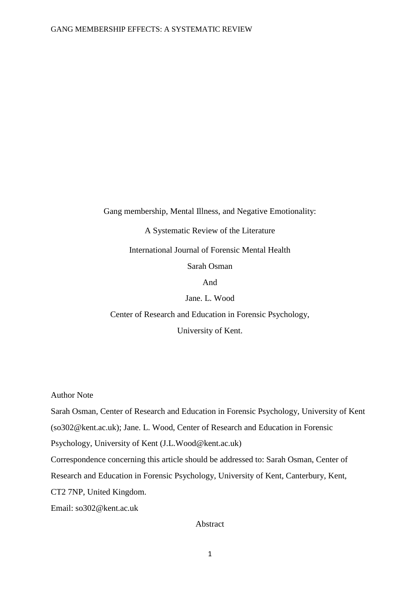Gang membership, Mental Illness, and Negative Emotionality:

A Systematic Review of the Literature International Journal of Forensic Mental Health

Sarah Osman

And

Jane. L. Wood

Center of Research and Education in Forensic Psychology,

University of Kent.

Author Note

Sarah Osman, Center of Research and Education in Forensic Psychology, University of Kent

(so302@kent.ac.uk); Jane. L. Wood, Center of Research and Education in Forensic

Psychology, University of Kent (J.L.Wood@kent.ac.uk)

Correspondence concerning this article should be addressed to: Sarah Osman, Center of

Research and Education in Forensic Psychology, University of Kent, Canterbury, Kent,

CT2 7NP, United Kingdom.

Email: so302@kent.ac.uk

#### Abstract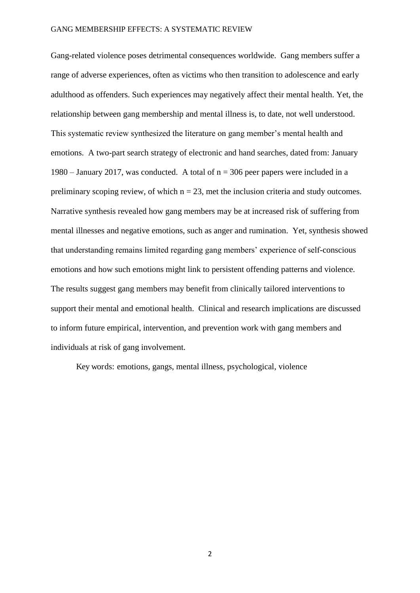Gang-related violence poses detrimental consequences worldwide. Gang members suffer a range of adverse experiences, often as victims who then transition to adolescence and early adulthood as offenders. Such experiences may negatively affect their mental health. Yet, the relationship between gang membership and mental illness is, to date, not well understood. This systematic review synthesized the literature on gang member's mental health and emotions. A two-part search strategy of electronic and hand searches, dated from: January 1980 – January 2017, was conducted. A total of  $n = 306$  peer papers were included in a preliminary scoping review, of which  $n = 23$ , met the inclusion criteria and study outcomes. Narrative synthesis revealed how gang members may be at increased risk of suffering from mental illnesses and negative emotions, such as anger and rumination. Yet, synthesis showed that understanding remains limited regarding gang members' experience of self-conscious emotions and how such emotions might link to persistent offending patterns and violence. The results suggest gang members may benefit from clinically tailored interventions to support their mental and emotional health. Clinical and research implications are discussed to inform future empirical, intervention, and prevention work with gang members and individuals at risk of gang involvement.

Key words: emotions, gangs, mental illness, psychological, violence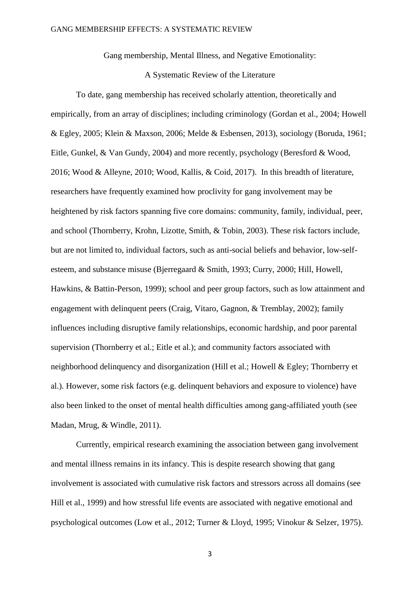Gang membership, Mental Illness, and Negative Emotionality:

#### A Systematic Review of the Literature

To date, gang membership has received scholarly attention, theoretically and empirically, from an array of disciplines; including criminology (Gordan et al., 2004; Howell & Egley, 2005; Klein & Maxson, 2006; Melde & Esbensen, 2013), sociology (Boruda, 1961; Eitle, Gunkel, & Van Gundy, 2004) and more recently, psychology (Beresford & Wood, 2016; Wood & Alleyne, 2010; Wood, Kallis, & Coid, 2017). In this breadth of literature, researchers have frequently examined how proclivity for gang involvement may be heightened by risk factors spanning five core domains: community, family, individual, peer, and school (Thornberry, Krohn, Lizotte, Smith, & Tobin, 2003). These risk factors include, but are not limited to, individual factors, such as anti-social beliefs and behavior, low-selfesteem, and substance misuse (Bjerregaard & Smith, 1993; Curry, 2000; Hill, Howell, Hawkins, & Battin-Person, 1999); school and peer group factors, such as low attainment and engagement with delinquent peers (Craig, Vitaro, Gagnon, & Tremblay, 2002); family influences including disruptive family relationships, economic hardship, and poor parental supervision (Thornberry et al.; Eitle et al.); and community factors associated with neighborhood delinquency and disorganization (Hill et al.; Howell & Egley; Thornberry et al.). However, some risk factors (e.g. delinquent behaviors and exposure to violence) have also been linked to the onset of mental health difficulties among gang-affiliated youth (see Madan, Mrug, & Windle, 2011).

 Currently, empirical research examining the association between gang involvement and mental illness remains in its infancy. This is despite research showing that gang involvement is associated with cumulative risk factors and stressors across all domains (see Hill et al., 1999) and how stressful life events are associated with negative emotional and psychological outcomes (Low et al., 2012; Turner & Lloyd, 1995; Vinokur & Selzer, 1975).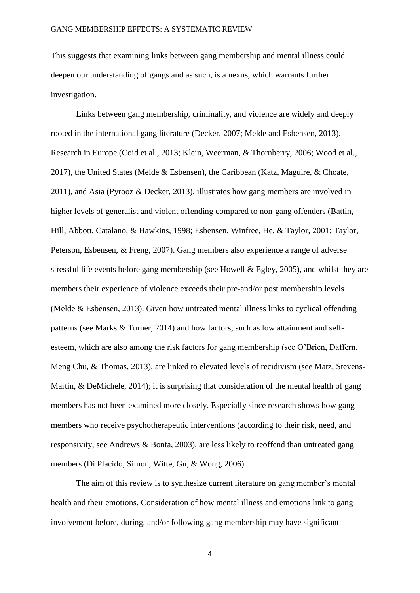This suggests that examining links between gang membership and mental illness could deepen our understanding of gangs and as such, is a nexus, which warrants further investigation.

Links between gang membership, criminality, and violence are widely and deeply rooted in the international gang literature (Decker, 2007; Melde and Esbensen, 2013). Research in Europe (Coid et al., 2013; Klein, Weerman, & Thornberry, 2006; Wood et al., 2017), the United States (Melde & Esbensen), the Caribbean (Katz, Maguire, & Choate, 2011), and Asia (Pyrooz & Decker, 2013), illustrates how gang members are involved in higher levels of generalist and violent offending compared to non-gang offenders (Battin, Hill, Abbott, Catalano, & Hawkins, 1998; Esbensen, Winfree, He, & Taylor, 2001; Taylor, Peterson, Esbensen, & Freng, 2007). Gang members also experience a range of adverse stressful life events before gang membership (see Howell & Egley, 2005), and whilst they are members their experience of violence exceeds their pre-and/or post membership levels (Melde & Esbensen, 2013). Given how untreated mental illness links to cyclical offending patterns (see Marks & Turner, 2014) and how factors, such as low attainment and selfesteem, which are also among the risk factors for gang membership (see O'Brien, Daffern, Meng Chu, & Thomas, 2013), are linked to elevated levels of recidivism (see Matz, Stevens-Martin, & DeMichele, 2014); it is surprising that consideration of the mental health of gang members has not been examined more closely. Especially since research shows how gang members who receive psychotherapeutic interventions (according to their risk, need, and responsivity, see Andrews & Bonta, 2003), are less likely to reoffend than untreated gang members (Di Placido, Simon, Witte, Gu, & Wong, 2006).

The aim of this review is to synthesize current literature on gang member's mental health and their emotions. Consideration of how mental illness and emotions link to gang involvement before, during, and/or following gang membership may have significant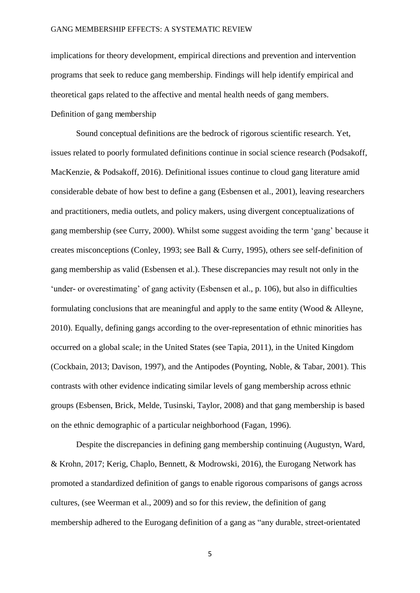implications for theory development, empirical directions and prevention and intervention programs that seek to reduce gang membership. Findings will help identify empirical and theoretical gaps related to the affective and mental health needs of gang members. Definition of gang membership

Sound conceptual definitions are the bedrock of rigorous scientific research. Yet, issues related to poorly formulated definitions continue in social science research (Podsakoff, MacKenzie, & Podsakoff, 2016). Definitional issues continue to cloud gang literature amid considerable debate of how best to define a gang (Esbensen et al., 2001), leaving researchers and practitioners, media outlets, and policy makers, using divergent conceptualizations of gang membership (see Curry, 2000). Whilst some suggest avoiding the term 'gang' because it creates misconceptions (Conley, 1993; see Ball & Curry, 1995), others see self-definition of gang membership as valid (Esbensen et al.). These discrepancies may result not only in the 'under- or overestimating' of gang activity (Esbensen et al., p. 106), but also in difficulties formulating conclusions that are meaningful and apply to the same entity (Wood & Alleyne, 2010). Equally, defining gangs according to the over-representation of ethnic minorities has occurred on a global scale; in the United States (see Tapia, 2011), in the United Kingdom (Cockbain, 2013; Davison, 1997), and the Antipodes (Poynting, Noble, & Tabar, 2001). This contrasts with other evidence indicating similar levels of gang membership across ethnic groups (Esbensen, Brick, Melde, Tusinski, Taylor, 2008) and that gang membership is based on the ethnic demographic of a particular neighborhood (Fagan, 1996).

Despite the discrepancies in defining gang membership continuing (Augustyn, Ward, & Krohn, 2017; Kerig, Chaplo, Bennett, & Modrowski, 2016), the Eurogang Network has promoted a standardized definition of gangs to enable rigorous comparisons of gangs across cultures, (see Weerman et al., 2009) and so for this review, the definition of gang membership adhered to the Eurogang definition of a gang as "any durable, street-orientated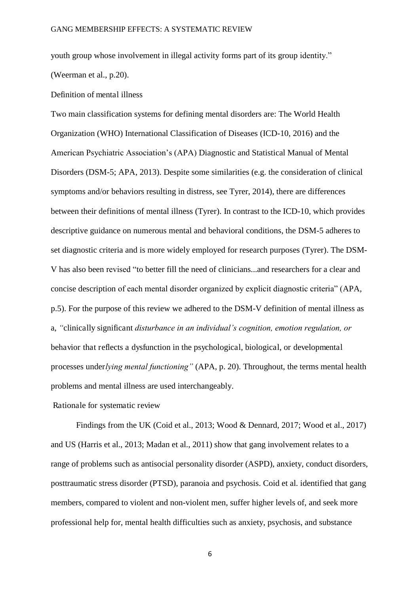youth group whose involvement in illegal activity forms part of its group identity." (Weerman et al., p.20).

Definition of mental illness

Two main classification systems for defining mental disorders are: The World Health Organization (WHO) International Classification of Diseases (ICD-10, 2016) and the American Psychiatric Association's (APA) Diagnostic and Statistical Manual of Mental Disorders (DSM-5; APA, 2013). Despite some similarities (e.g. the consideration of clinical symptoms and/or behaviors resulting in distress, see Tyrer, 2014), there are differences between their definitions of mental illness (Tyrer). In contrast to the ICD-10, which provides descriptive guidance on numerous mental and behavioral conditions, the DSM-5 adheres to set diagnostic criteria and is more widely employed for research purposes (Tyrer). The DSM-V has also been revised "to better fill the need of clinicians...and researchers for a clear and concise description of each mental disorder organized by explicit diagnostic criteria" (APA, p.5). For the purpose of this review we adhered to the DSM-V definition of mental illness as a, *"*clinically significant *disturbance in an individual's cognition, emotion regulation, or*  behavior that reflects a dysfunction in the psychological, biological, or developmental processes under*lying mental functioning"* (APA, p. 20). Throughout, the terms mental health problems and mental illness are used interchangeably.

Rationale for systematic review

Findings from the UK (Coid et al., 2013; Wood & Dennard, 2017; Wood et al., 2017) and US (Harris et al., 2013; Madan et al., 2011) show that gang involvement relates to a range of problems such as antisocial personality disorder (ASPD), anxiety, conduct disorders, posttraumatic stress disorder (PTSD), paranoia and psychosis. Coid et al. identified that gang members, compared to violent and non-violent men, suffer higher levels of, and seek more professional help for, mental health difficulties such as anxiety, psychosis, and substance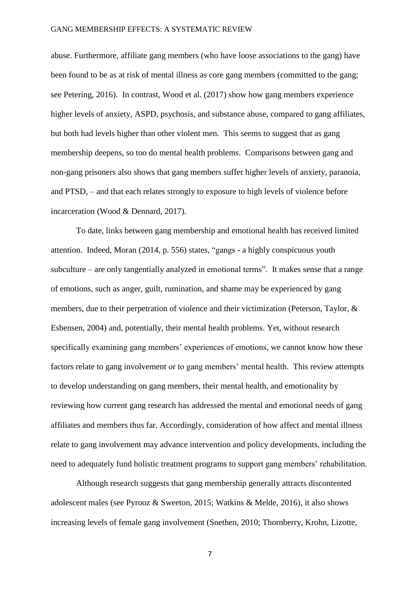abuse. Furthermore, affiliate gang members (who have loose associations to the gang) have been found to be as at risk of mental illness as core gang members (committed to the gang; see Petering, 2016). In contrast, Wood et al. (2017) show how gang members experience higher levels of anxiety, ASPD, psychosis, and substance abuse, compared to gang affiliates, but both had levels higher than other violent men. This seems to suggest that as gang membership deepens, so too do mental health problems. Comparisons between gang and non-gang prisoners also shows that gang members suffer higher levels of anxiety, paranoia, and PTSD, – and that each relates strongly to exposure to high levels of violence before incarceration (Wood & Dennard, 2017).

To date, links between gang membership and emotional health has received limited attention. Indeed, Moran (2014, p. 556) states, "gangs - a highly conspicuous youth subculture – are only tangentially analyzed in emotional terms". It makes sense that a range of emotions, such as anger, guilt, rumination, and shame may be experienced by gang members, due to their perpetration of violence and their victimization (Peterson, Taylor, & Esbensen, 2004) and, potentially, their mental health problems. Yet, without research specifically examining gang members' experiences of emotions, we cannot know how these factors relate to gang involvement or to gang members' mental health. This review attempts to develop understanding on gang members, their mental health, and emotionality by reviewing how current gang research has addressed the mental and emotional needs of gang affiliates and members thus far. Accordingly, consideration of how affect and mental illness relate to gang involvement may advance intervention and policy developments, including the need to adequately fund holistic treatment programs to support gang members' rehabilitation.

Although research suggests that gang membership generally attracts discontented adolescent males (see Pyrooz & Sweeton, 2015; Watkins & Melde, 2016), it also shows increasing levels of female gang involvement (Snethen, 2010; Thornberry, Krohn, Lizotte,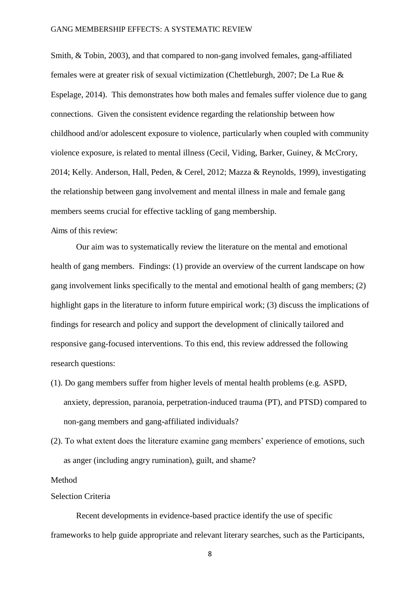Smith, & Tobin, 2003), and that compared to non-gang involved females, gang-affiliated females were at greater risk of sexual victimization (Chettleburgh, 2007; De La Rue & Espelage, 2014). This demonstrates how both males and females suffer violence due to gang connections. Given the consistent evidence regarding the relationship between how childhood and/or adolescent exposure to violence, particularly when coupled with community violence exposure, is related to mental illness (Cecil, Viding, Barker, Guiney, & McCrory, 2014; Kelly. Anderson, Hall, Peden, & Cerel, 2012; Mazza & Reynolds, 1999), investigating the relationship between gang involvement and mental illness in male and female gang members seems crucial for effective tackling of gang membership.

#### Aims of this review:

Our aim was to systematically review the literature on the mental and emotional health of gang members. Findings: (1) provide an overview of the current landscape on how gang involvement links specifically to the mental and emotional health of gang members; (2) highlight gaps in the literature to inform future empirical work; (3) discuss the implications of findings for research and policy and support the development of clinically tailored and responsive gang-focused interventions. To this end, this review addressed the following research questions:

- (1). Do gang members suffer from higher levels of mental health problems (e.g. ASPD, anxiety, depression, paranoia, perpetration-induced trauma (PT), and PTSD) compared to non-gang members and gang-affiliated individuals?
- (2). To what extent does the literature examine gang members' experience of emotions, such as anger (including angry rumination), guilt, and shame?

#### Method

#### Selection Criteria

Recent developments in evidence-based practice identify the use of specific frameworks to help guide appropriate and relevant literary searches, such as the Participants,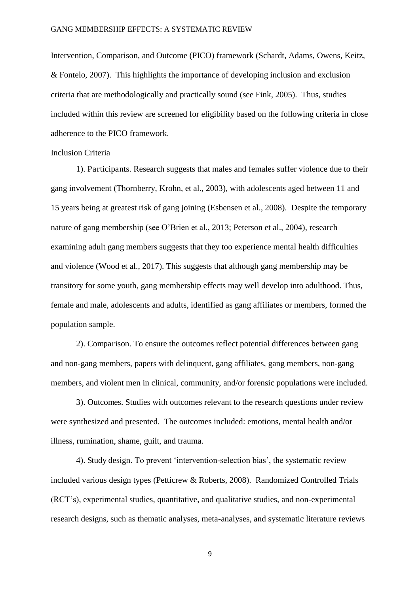Intervention, Comparison, and Outcome (PICO) framework (Schardt, Adams, Owens, Keitz, & Fontelo, 2007). This highlights the importance of developing inclusion and exclusion criteria that are methodologically and practically sound (see Fink, 2005). Thus, studies included within this review are screened for eligibility based on the following criteria in close adherence to the PICO framework.

#### Inclusion Criteria

1). Participants. Research suggests that males and females suffer violence due to their gang involvement (Thornberry, Krohn, et al., 2003), with adolescents aged between 11 and 15 years being at greatest risk of gang joining (Esbensen et al., 2008). Despite the temporary nature of gang membership (see O'Brien et al., 2013; Peterson et al., 2004), research examining adult gang members suggests that they too experience mental health difficulties and violence (Wood et al., 2017). This suggests that although gang membership may be transitory for some youth, gang membership effects may well develop into adulthood. Thus, female and male, adolescents and adults, identified as gang affiliates or members, formed the population sample.

2). Comparison. To ensure the outcomes reflect potential differences between gang and non-gang members, papers with delinquent, gang affiliates, gang members, non-gang members, and violent men in clinical, community, and/or forensic populations were included.

3). Outcomes. Studies with outcomes relevant to the research questions under review were synthesized and presented. The outcomes included: emotions, mental health and/or illness, rumination, shame, guilt, and trauma.

4). Study design. To prevent 'intervention-selection bias', the systematic review included various design types (Petticrew & Roberts, 2008). Randomized Controlled Trials (RCT's), experimental studies, quantitative, and qualitative studies, and non-experimental research designs, such as thematic analyses, meta-analyses, and systematic literature reviews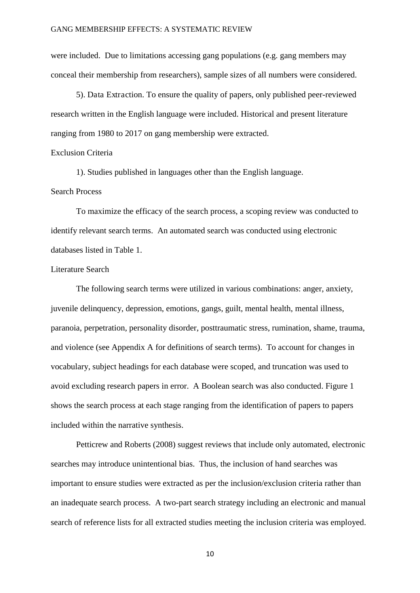were included. Due to limitations accessing gang populations (e.g. gang members may conceal their membership from researchers), sample sizes of all numbers were considered.

5). Data Extraction. To ensure the quality of papers, only published peer-reviewed research written in the English language were included. Historical and present literature ranging from 1980 to 2017 on gang membership were extracted.

#### Exclusion Criteria

1). Studies published in languages other than the English language.

#### Search Process

To maximize the efficacy of the search process, a scoping review was conducted to identify relevant search terms. An automated search was conducted using electronic databases listed in Table 1.

#### Literature Search

The following search terms were utilized in various combinations: anger, anxiety, juvenile delinquency, depression, emotions, gangs, guilt, mental health, mental illness, paranoia, perpetration, personality disorder, posttraumatic stress, rumination, shame, trauma, and violence (see Appendix A for definitions of search terms). To account for changes in vocabulary, subject headings for each database were scoped, and truncation was used to avoid excluding research papers in error. A Boolean search was also conducted. Figure 1 shows the search process at each stage ranging from the identification of papers to papers included within the narrative synthesis.

Petticrew and Roberts (2008) suggest reviews that include only automated, electronic searches may introduce unintentional bias. Thus, the inclusion of hand searches was important to ensure studies were extracted as per the inclusion/exclusion criteria rather than an inadequate search process. A two-part search strategy including an electronic and manual search of reference lists for all extracted studies meeting the inclusion criteria was employed.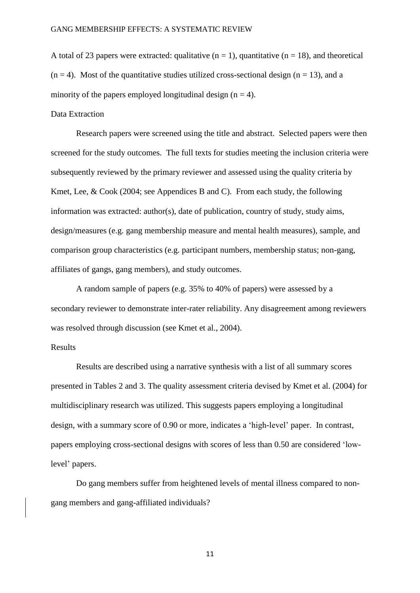A total of 23 papers were extracted: qualitative  $(n = 1)$ , quantitative  $(n = 18)$ , and theoretical  $(n = 4)$ . Most of the quantitative studies utilized cross-sectional design  $(n = 13)$ , and a minority of the papers employed longitudinal design  $(n = 4)$ .

#### Data Extraction

Research papers were screened using the title and abstract. Selected papers were then screened for the study outcomes. The full texts for studies meeting the inclusion criteria were subsequently reviewed by the primary reviewer and assessed using the quality criteria by Kmet, Lee, & Cook (2004; see Appendices B and C). From each study, the following information was extracted: author(s), date of publication, country of study, study aims, design/measures (e.g. gang membership measure and mental health measures), sample, and comparison group characteristics (e.g. participant numbers, membership status; non-gang, affiliates of gangs, gang members), and study outcomes.

 A random sample of papers (e.g. 35% to 40% of papers) were assessed by a secondary reviewer to demonstrate inter-rater reliability. Any disagreement among reviewers was resolved through discussion (see Kmet et al., 2004).

#### Results

Results are described using a narrative synthesis with a list of all summary scores presented in Tables 2 and 3. The quality assessment criteria devised by Kmet et al. (2004) for multidisciplinary research was utilized. This suggests papers employing a longitudinal design, with a summary score of 0.90 or more, indicates a 'high-level' paper. In contrast, papers employing cross-sectional designs with scores of less than 0.50 are considered 'lowlevel' papers.

Do gang members suffer from heightened levels of mental illness compared to nongang members and gang-affiliated individuals?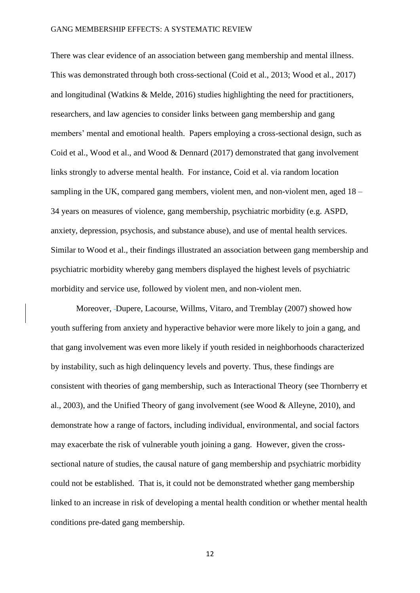There was clear evidence of an association between gang membership and mental illness. This was demonstrated through both cross-sectional (Coid et al., 2013; Wood et al., 2017) and longitudinal (Watkins & Melde, 2016) studies highlighting the need for practitioners, researchers, and law agencies to consider links between gang membership and gang members' mental and emotional health. Papers employing a cross-sectional design, such as Coid et al., Wood et al., and Wood & Dennard (2017) demonstrated that gang involvement links strongly to adverse mental health. For instance, Coid et al. via random location sampling in the UK, compared gang members, violent men, and non-violent men, aged 18 – 34 years on measures of violence, gang membership, psychiatric morbidity (e.g. ASPD, anxiety, depression, psychosis, and substance abuse), and use of mental health services. Similar to Wood et al., their findings illustrated an association between gang membership and psychiatric morbidity whereby gang members displayed the highest levels of psychiatric morbidity and service use, followed by violent men, and non-violent men.

 Moreover, Dupere, Lacourse, Willms, Vitaro, and Tremblay (2007) showed how youth suffering from anxiety and hyperactive behavior were more likely to join a gang, and that gang involvement was even more likely if youth resided in neighborhoods characterized by instability, such as high delinquency levels and poverty. Thus, these findings are consistent with theories of gang membership, such as Interactional Theory (see Thornberry et al., 2003), and the Unified Theory of gang involvement (see Wood & Alleyne, 2010), and demonstrate how a range of factors, including individual, environmental, and social factors may exacerbate the risk of vulnerable youth joining a gang. However, given the crosssectional nature of studies, the causal nature of gang membership and psychiatric morbidity could not be established. That is, it could not be demonstrated whether gang membership linked to an increase in risk of developing a mental health condition or whether mental health conditions pre-dated gang membership.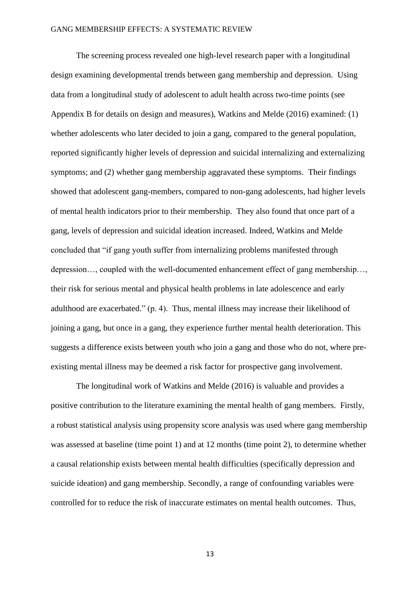The screening process revealed one high-level research paper with a longitudinal design examining developmental trends between gang membership and depression. Using data from a longitudinal study of adolescent to adult health across two-time points (see Appendix B for details on design and measures), Watkins and Melde (2016) examined: (1) whether adolescents who later decided to join a gang, compared to the general population, reported significantly higher levels of depression and suicidal internalizing and externalizing symptoms; and (2) whether gang membership aggravated these symptoms. Their findings showed that adolescent gang-members, compared to non-gang adolescents, had higher levels of mental health indicators prior to their membership. They also found that once part of a gang, levels of depression and suicidal ideation increased. Indeed, Watkins and Melde concluded that "if gang youth suffer from internalizing problems manifested through depression…, coupled with the well-documented enhancement effect of gang membership…, their risk for serious mental and physical health problems in late adolescence and early adulthood are exacerbated." (p. 4). Thus, mental illness may increase their likelihood of joining a gang, but once in a gang, they experience further mental health deterioration. This suggests a difference exists between youth who join a gang and those who do not, where preexisting mental illness may be deemed a risk factor for prospective gang involvement.

The longitudinal work of Watkins and Melde (2016) is valuable and provides a positive contribution to the literature examining the mental health of gang members. Firstly, a robust statistical analysis using propensity score analysis was used where gang membership was assessed at baseline (time point 1) and at 12 months (time point 2), to determine whether a causal relationship exists between mental health difficulties (specifically depression and suicide ideation) and gang membership. Secondly, a range of confounding variables were controlled for to reduce the risk of inaccurate estimates on mental health outcomes. Thus,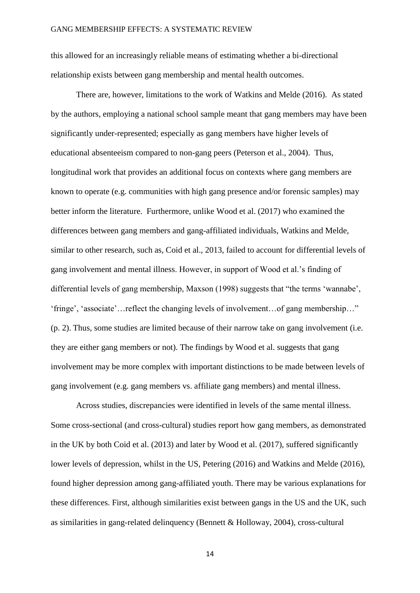this allowed for an increasingly reliable means of estimating whether a bi-directional relationship exists between gang membership and mental health outcomes.

There are, however, limitations to the work of Watkins and Melde (2016). As stated by the authors, employing a national school sample meant that gang members may have been significantly under-represented; especially as gang members have higher levels of educational absenteeism compared to non-gang peers (Peterson et al., 2004). Thus, longitudinal work that provides an additional focus on contexts where gang members are known to operate (e.g. communities with high gang presence and/or forensic samples) may better inform the literature. Furthermore, unlike Wood et al. (2017) who examined the differences between gang members and gang-affiliated individuals, Watkins and Melde, similar to other research, such as, Coid et al., 2013, failed to account for differential levels of gang involvement and mental illness. However, in support of Wood et al.'s finding of differential levels of gang membership, Maxson (1998) suggests that "the terms 'wannabe', 'fringe', 'associate'…reflect the changing levels of involvement…of gang membership…" (p. 2). Thus, some studies are limited because of their narrow take on gang involvement (i.e. they are either gang members or not). The findings by Wood et al. suggests that gang involvement may be more complex with important distinctions to be made between levels of gang involvement (e.g. gang members vs. affiliate gang members) and mental illness.

Across studies, discrepancies were identified in levels of the same mental illness. Some cross-sectional (and cross-cultural) studies report how gang members, as demonstrated in the UK by both Coid et al. (2013) and later by Wood et al. (2017), suffered significantly lower levels of depression, whilst in the US, Petering (2016) and Watkins and Melde (2016), found higher depression among gang-affiliated youth. There may be various explanations for these differences. First, although similarities exist between gangs in the US and the UK, such as similarities in gang-related delinquency (Bennett & Holloway, 2004), cross-cultural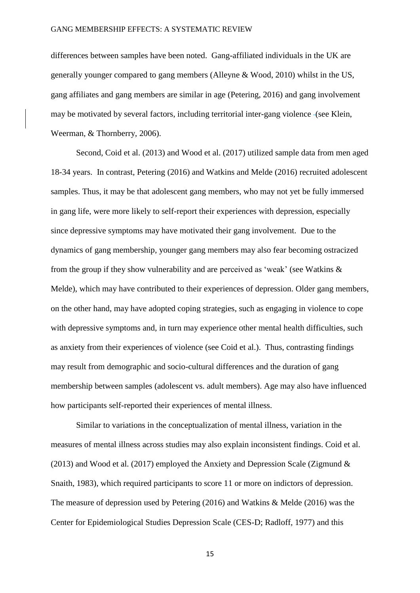differences between samples have been noted. Gang-affiliated individuals in the UK are generally younger compared to gang members (Alleyne & Wood, 2010) whilst in the US, gang affiliates and gang members are similar in age (Petering, 2016) and gang involvement may be motivated by several factors, including territorial inter-gang violence (see Klein, Weerman, & Thornberry, 2006).

Second, Coid et al. (2013) and Wood et al. (2017) utilized sample data from men aged 18-34 years. In contrast, Petering (2016) and Watkins and Melde (2016) recruited adolescent samples. Thus, it may be that adolescent gang members, who may not yet be fully immersed in gang life, were more likely to self-report their experiences with depression, especially since depressive symptoms may have motivated their gang involvement. Due to the dynamics of gang membership, younger gang members may also fear becoming ostracized from the group if they show vulnerability and are perceived as 'weak' (see Watkins & Melde), which may have contributed to their experiences of depression. Older gang members, on the other hand, may have adopted coping strategies, such as engaging in violence to cope with depressive symptoms and, in turn may experience other mental health difficulties, such as anxiety from their experiences of violence (see Coid et al.). Thus, contrasting findings may result from demographic and socio-cultural differences and the duration of gang membership between samples (adolescent vs. adult members). Age may also have influenced how participants self-reported their experiences of mental illness.

Similar to variations in the conceptualization of mental illness, variation in the measures of mental illness across studies may also explain inconsistent findings. Coid et al. (2013) and Wood et al. (2017) employed the Anxiety and Depression Scale (Zigmund  $\&$ Snaith, 1983), which required participants to score 11 or more on indictors of depression. The measure of depression used by Petering (2016) and Watkins & Melde (2016) was the Center for Epidemiological Studies Depression Scale (CES-D; Radloff, 1977) and this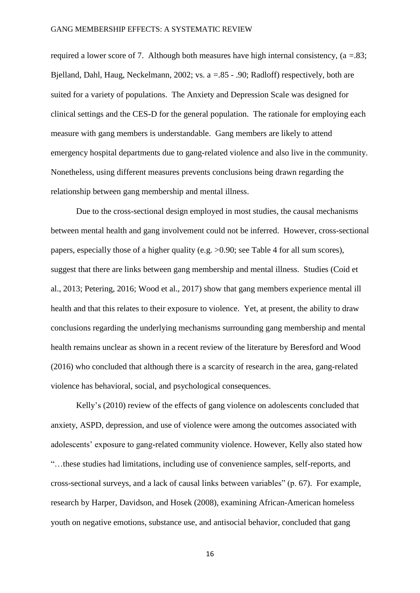required a lower score of 7. Although both measures have high internal consistency, ( $a = .83$ ; Bjelland, Dahl, Haug, Neckelmann, 2002; vs. a =.85 - .90; Radloff) respectively, both are suited for a variety of populations. The Anxiety and Depression Scale was designed for clinical settings and the CES-D for the general population. The rationale for employing each measure with gang members is understandable. Gang members are likely to attend emergency hospital departments due to gang-related violence and also live in the community. Nonetheless, using different measures prevents conclusions being drawn regarding the relationship between gang membership and mental illness.

Due to the cross-sectional design employed in most studies, the causal mechanisms between mental health and gang involvement could not be inferred. However, cross-sectional papers, especially those of a higher quality (e.g. >0.90; see Table 4 for all sum scores), suggest that there are links between gang membership and mental illness. Studies (Coid et al., 2013; Petering, 2016; Wood et al., 2017) show that gang members experience mental ill health and that this relates to their exposure to violence. Yet, at present, the ability to draw conclusions regarding the underlying mechanisms surrounding gang membership and mental health remains unclear as shown in a recent review of the literature by Beresford and Wood (2016) who concluded that although there is a scarcity of research in the area, gang-related violence has behavioral, social, and psychological consequences.

Kelly's (2010) review of the effects of gang violence on adolescents concluded that anxiety, ASPD, depression, and use of violence were among the outcomes associated with adolescents' exposure to gang-related community violence. However, Kelly also stated how "…these studies had limitations, including use of convenience samples, self-reports, and cross-sectional surveys, and a lack of causal links between variables" (p. 67). For example, research by Harper, Davidson, and Hosek (2008), examining African-American homeless youth on negative emotions, substance use, and antisocial behavior, concluded that gang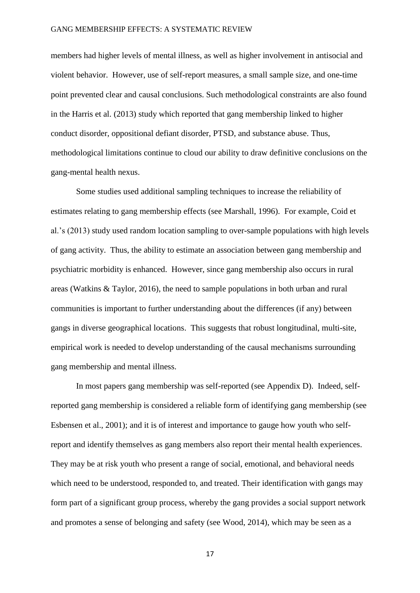members had higher levels of mental illness, as well as higher involvement in antisocial and violent behavior. However, use of self-report measures, a small sample size, and one-time point prevented clear and causal conclusions. Such methodological constraints are also found in the Harris et al. (2013) study which reported that gang membership linked to higher conduct disorder, oppositional defiant disorder, PTSD, and substance abuse. Thus, methodological limitations continue to cloud our ability to draw definitive conclusions on the gang-mental health nexus.

Some studies used additional sampling techniques to increase the reliability of estimates relating to gang membership effects (see Marshall, 1996). For example, Coid et al.'s (2013) study used random location sampling to over-sample populations with high levels of gang activity. Thus, the ability to estimate an association between gang membership and psychiatric morbidity is enhanced. However, since gang membership also occurs in rural areas (Watkins & Taylor, 2016), the need to sample populations in both urban and rural communities is important to further understanding about the differences (if any) between gangs in diverse geographical locations. This suggests that robust longitudinal, multi-site, empirical work is needed to develop understanding of the causal mechanisms surrounding gang membership and mental illness.

In most papers gang membership was self-reported (see Appendix D). Indeed, selfreported gang membership is considered a reliable form of identifying gang membership (see Esbensen et al., 2001); and it is of interest and importance to gauge how youth who selfreport and identify themselves as gang members also report their mental health experiences. They may be at risk youth who present a range of social, emotional, and behavioral needs which need to be understood, responded to, and treated. Their identification with gangs may form part of a significant group process, whereby the gang provides a social support network and promotes a sense of belonging and safety (see Wood, 2014), which may be seen as a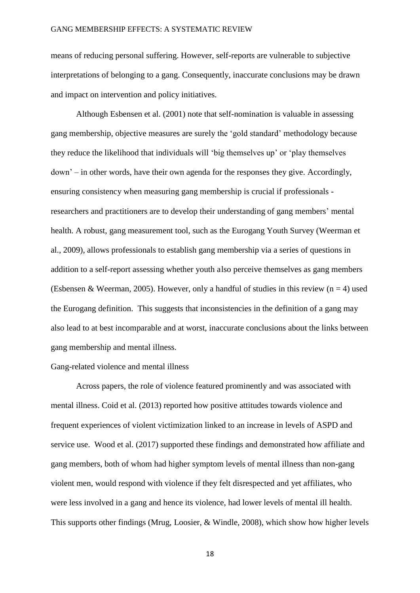means of reducing personal suffering. However, self-reports are vulnerable to subjective interpretations of belonging to a gang. Consequently, inaccurate conclusions may be drawn and impact on intervention and policy initiatives.

Although Esbensen et al. (2001) note that self-nomination is valuable in assessing gang membership, objective measures are surely the 'gold standard' methodology because they reduce the likelihood that individuals will 'big themselves up' or 'play themselves down' – in other words, have their own agenda for the responses they give. Accordingly, ensuring consistency when measuring gang membership is crucial if professionals researchers and practitioners are to develop their understanding of gang members' mental health. A robust, gang measurement tool, such as the Eurogang Youth Survey (Weerman et al., 2009), allows professionals to establish gang membership via a series of questions in addition to a self-report assessing whether youth also perceive themselves as gang members (Esbensen & Weerman, 2005). However, only a handful of studies in this review ( $n = 4$ ) used the Eurogang definition. This suggests that inconsistencies in the definition of a gang may also lead to at best incomparable and at worst, inaccurate conclusions about the links between gang membership and mental illness.

#### Gang-related violence and mental illness

Across papers, the role of violence featured prominently and was associated with mental illness. Coid et al. (2013) reported how positive attitudes towards violence and frequent experiences of violent victimization linked to an increase in levels of ASPD and service use. Wood et al. (2017) supported these findings and demonstrated how affiliate and gang members, both of whom had higher symptom levels of mental illness than non-gang violent men, would respond with violence if they felt disrespected and yet affiliates, who were less involved in a gang and hence its violence, had lower levels of mental ill health. This supports other findings (Mrug, Loosier, & Windle, 2008), which show how higher levels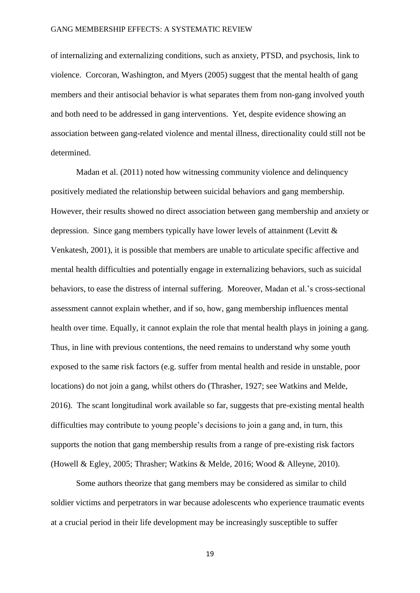of internalizing and externalizing conditions, such as anxiety, PTSD, and psychosis, link to violence. Corcoran, Washington, and Myers (2005) suggest that the mental health of gang members and their antisocial behavior is what separates them from non-gang involved youth and both need to be addressed in gang interventions. Yet, despite evidence showing an association between gang-related violence and mental illness, directionality could still not be determined.

Madan et al. (2011) noted how witnessing community violence and delinquency positively mediated the relationship between suicidal behaviors and gang membership. However, their results showed no direct association between gang membership and anxiety or depression. Since gang members typically have lower levels of attainment (Levitt & Venkatesh, 2001), it is possible that members are unable to articulate specific affective and mental health difficulties and potentially engage in externalizing behaviors, such as suicidal behaviors, to ease the distress of internal suffering. Moreover, Madan et al.'s cross-sectional assessment cannot explain whether, and if so, how, gang membership influences mental health over time. Equally, it cannot explain the role that mental health plays in joining a gang. Thus, in line with previous contentions, the need remains to understand why some youth exposed to the same risk factors (e.g. suffer from mental health and reside in unstable, poor locations) do not join a gang, whilst others do (Thrasher, 1927; see Watkins and Melde, 2016). The scant longitudinal work available so far, suggests that pre-existing mental health difficulties may contribute to young people's decisions to join a gang and, in turn, this supports the notion that gang membership results from a range of pre-existing risk factors (Howell & Egley, 2005; Thrasher; Watkins & Melde, 2016; Wood & Alleyne, 2010).

Some authors theorize that gang members may be considered as similar to child soldier victims and perpetrators in war because adolescents who experience traumatic events at a crucial period in their life development may be increasingly susceptible to suffer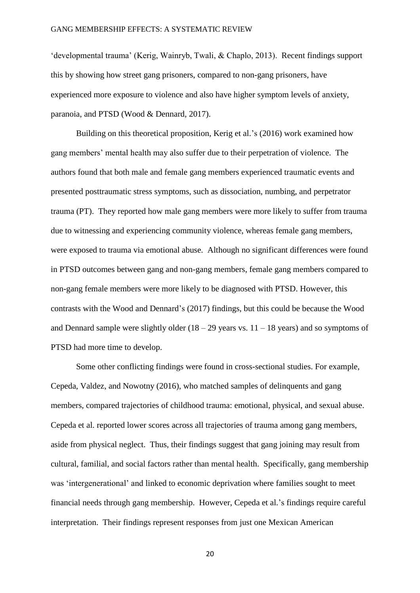'developmental trauma' (Kerig, Wainryb, Twali, & Chaplo, 2013). Recent findings support this by showing how street gang prisoners, compared to non-gang prisoners, have experienced more exposure to violence and also have higher symptom levels of anxiety, paranoia, and PTSD (Wood & Dennard, 2017).

Building on this theoretical proposition, Kerig et al.'s (2016) work examined how gang members' mental health may also suffer due to their perpetration of violence. The authors found that both male and female gang members experienced traumatic events and presented posttraumatic stress symptoms, such as dissociation, numbing, and perpetrator trauma (PT). They reported how male gang members were more likely to suffer from trauma due to witnessing and experiencing community violence, whereas female gang members, were exposed to trauma via emotional abuse. Although no significant differences were found in PTSD outcomes between gang and non-gang members, female gang members compared to non-gang female members were more likely to be diagnosed with PTSD. However, this contrasts with the Wood and Dennard's (2017) findings, but this could be because the Wood and Dennard sample were slightly older  $(18 - 29)$  years vs.  $11 - 18$  years) and so symptoms of PTSD had more time to develop.

Some other conflicting findings were found in cross-sectional studies. For example, Cepeda, Valdez, and Nowotny (2016), who matched samples of delinquents and gang members, compared trajectories of childhood trauma: emotional, physical, and sexual abuse. Cepeda et al. reported lower scores across all trajectories of trauma among gang members, aside from physical neglect. Thus, their findings suggest that gang joining may result from cultural, familial, and social factors rather than mental health. Specifically, gang membership was 'intergenerational' and linked to economic deprivation where families sought to meet financial needs through gang membership. However, Cepeda et al.'s findings require careful interpretation. Their findings represent responses from just one Mexican American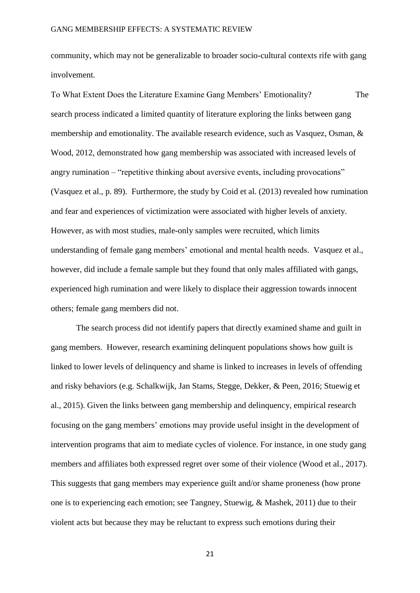community, which may not be generalizable to broader socio-cultural contexts rife with gang involvement.

To What Extent Does the Literature Examine Gang Members' Emotionality? The search process indicated a limited quantity of literature exploring the links between gang membership and emotionality. The available research evidence, such as Vasquez, Osman, & Wood, 2012, demonstrated how gang membership was associated with increased levels of angry rumination – "repetitive thinking about aversive events, including provocations" (Vasquez et al., p. 89). Furthermore, the study by Coid et al. (2013) revealed how rumination and fear and experiences of victimization were associated with higher levels of anxiety. However, as with most studies, male-only samples were recruited, which limits understanding of female gang members' emotional and mental health needs. Vasquez et al., however, did include a female sample but they found that only males affiliated with gangs, experienced high rumination and were likely to displace their aggression towards innocent others; female gang members did not.

 The search process did not identify papers that directly examined shame and guilt in gang members. However, research examining delinquent populations shows how guilt is linked to lower levels of delinquency and shame is linked to increases in levels of offending and risky behaviors (e.g. Schalkwijk, Jan Stams, Stegge, Dekker, & Peen, 2016; Stuewig et al., 2015). Given the links between gang membership and delinquency, empirical research focusing on the gang members' emotions may provide useful insight in the development of intervention programs that aim to mediate cycles of violence. For instance, in one study gang members and affiliates both expressed regret over some of their violence (Wood et al., 2017). This suggests that gang members may experience guilt and/or shame proneness (how prone one is to experiencing each emotion; see Tangney, Stuewig, & Mashek, 2011) due to their violent acts but because they may be reluctant to express such emotions during their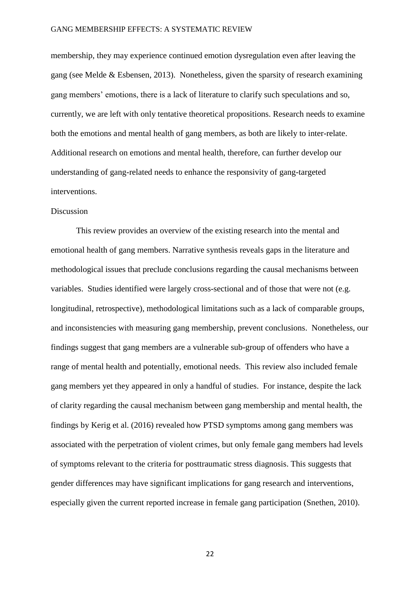membership, they may experience continued emotion dysregulation even after leaving the gang (see Melde & Esbensen, 2013). Nonetheless, given the sparsity of research examining gang members' emotions, there is a lack of literature to clarify such speculations and so, currently, we are left with only tentative theoretical propositions. Research needs to examine both the emotions and mental health of gang members, as both are likely to inter-relate. Additional research on emotions and mental health, therefore, can further develop our understanding of gang-related needs to enhance the responsivity of gang-targeted interventions.

#### Discussion

This review provides an overview of the existing research into the mental and emotional health of gang members. Narrative synthesis reveals gaps in the literature and methodological issues that preclude conclusions regarding the causal mechanisms between variables. Studies identified were largely cross-sectional and of those that were not (e.g. longitudinal, retrospective), methodological limitations such as a lack of comparable groups, and inconsistencies with measuring gang membership, prevent conclusions. Nonetheless, our findings suggest that gang members are a vulnerable sub-group of offenders who have a range of mental health and potentially, emotional needs. This review also included female gang members yet they appeared in only a handful of studies. For instance, despite the lack of clarity regarding the causal mechanism between gang membership and mental health, the findings by Kerig et al. (2016) revealed how PTSD symptoms among gang members was associated with the perpetration of violent crimes, but only female gang members had levels of symptoms relevant to the criteria for posttraumatic stress diagnosis. This suggests that gender differences may have significant implications for gang research and interventions, especially given the current reported increase in female gang participation (Snethen, 2010).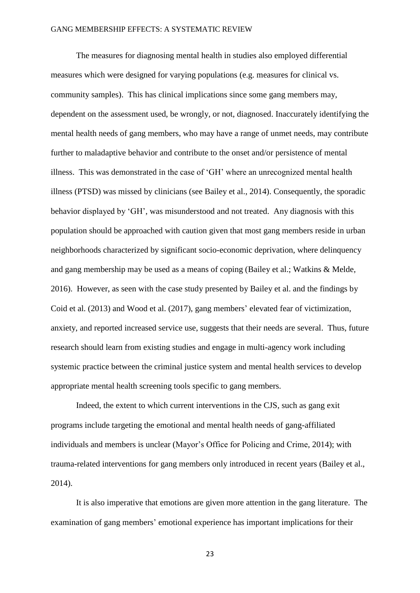The measures for diagnosing mental health in studies also employed differential measures which were designed for varying populations (e.g. measures for clinical vs. community samples). This has clinical implications since some gang members may, dependent on the assessment used, be wrongly, or not, diagnosed. Inaccurately identifying the mental health needs of gang members, who may have a range of unmet needs, may contribute further to maladaptive behavior and contribute to the onset and/or persistence of mental illness. This was demonstrated in the case of 'GH' where an unrecognized mental health illness (PTSD) was missed by clinicians (see Bailey et al., 2014). Consequently, the sporadic behavior displayed by 'GH', was misunderstood and not treated. Any diagnosis with this population should be approached with caution given that most gang members reside in urban neighborhoods characterized by significant socio-economic deprivation, where delinquency and gang membership may be used as a means of coping (Bailey et al.; Watkins & Melde, 2016). However, as seen with the case study presented by Bailey et al. and the findings by Coid et al. (2013) and Wood et al. (2017), gang members' elevated fear of victimization, anxiety, and reported increased service use, suggests that their needs are several. Thus, future research should learn from existing studies and engage in multi-agency work including systemic practice between the criminal justice system and mental health services to develop appropriate mental health screening tools specific to gang members.

Indeed, the extent to which current interventions in the CJS, such as gang exit programs include targeting the emotional and mental health needs of gang-affiliated individuals and members is unclear (Mayor's Office for Policing and Crime, 2014); with trauma-related interventions for gang members only introduced in recent years (Bailey et al., 2014).

It is also imperative that emotions are given more attention in the gang literature. The examination of gang members' emotional experience has important implications for their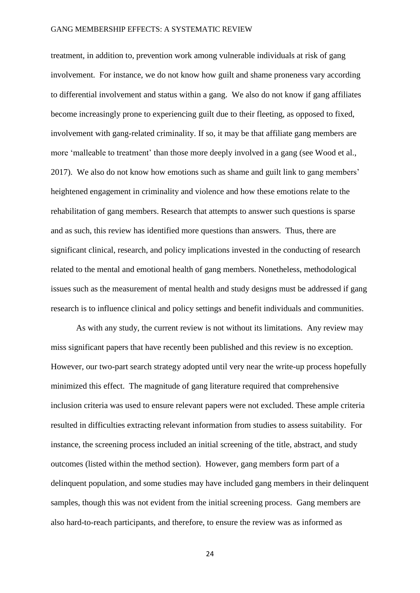treatment, in addition to, prevention work among vulnerable individuals at risk of gang involvement. For instance, we do not know how guilt and shame proneness vary according to differential involvement and status within a gang. We also do not know if gang affiliates become increasingly prone to experiencing guilt due to their fleeting, as opposed to fixed, involvement with gang-related criminality. If so, it may be that affiliate gang members are more 'malleable to treatment' than those more deeply involved in a gang (see Wood et al., 2017). We also do not know how emotions such as shame and guilt link to gang members' heightened engagement in criminality and violence and how these emotions relate to the rehabilitation of gang members. Research that attempts to answer such questions is sparse and as such, this review has identified more questions than answers. Thus, there are significant clinical, research, and policy implications invested in the conducting of research related to the mental and emotional health of gang members. Nonetheless, methodological issues such as the measurement of mental health and study designs must be addressed if gang research is to influence clinical and policy settings and benefit individuals and communities.

As with any study, the current review is not without its limitations. Any review may miss significant papers that have recently been published and this review is no exception. However, our two-part search strategy adopted until very near the write-up process hopefully minimized this effect. The magnitude of gang literature required that comprehensive inclusion criteria was used to ensure relevant papers were not excluded. These ample criteria resulted in difficulties extracting relevant information from studies to assess suitability. For instance, the screening process included an initial screening of the title, abstract, and study outcomes (listed within the method section). However, gang members form part of a delinquent population, and some studies may have included gang members in their delinquent samples, though this was not evident from the initial screening process. Gang members are also hard-to-reach participants, and therefore, to ensure the review was as informed as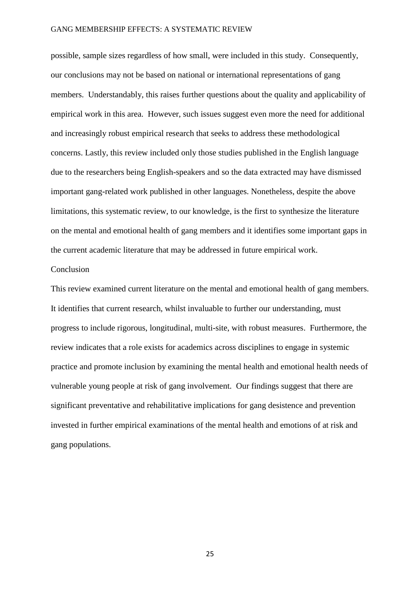possible, sample sizes regardless of how small, were included in this study. Consequently, our conclusions may not be based on national or international representations of gang members. Understandably, this raises further questions about the quality and applicability of empirical work in this area. However, such issues suggest even more the need for additional and increasingly robust empirical research that seeks to address these methodological concerns. Lastly, this review included only those studies published in the English language due to the researchers being English-speakers and so the data extracted may have dismissed important gang-related work published in other languages. Nonetheless, despite the above limitations, this systematic review, to our knowledge, is the first to synthesize the literature on the mental and emotional health of gang members and it identifies some important gaps in the current academic literature that may be addressed in future empirical work.

#### Conclusion

This review examined current literature on the mental and emotional health of gang members. It identifies that current research, whilst invaluable to further our understanding, must progress to include rigorous, longitudinal, multi-site, with robust measures. Furthermore, the review indicates that a role exists for academics across disciplines to engage in systemic practice and promote inclusion by examining the mental health and emotional health needs of vulnerable young people at risk of gang involvement. Our findings suggest that there are significant preventative and rehabilitative implications for gang desistence and prevention invested in further empirical examinations of the mental health and emotions of at risk and gang populations.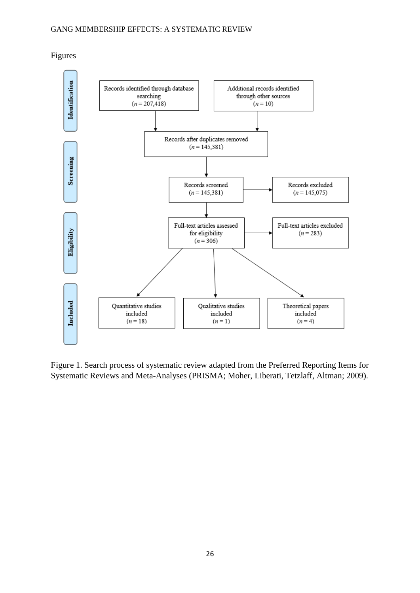Identification Records identified through database Additional records identified searching through other sources  $(n = 207, 418)$  $(n = 10)$ Records after duplicates removed  $(n = 145,381)$ Screening Records excluded Records screened  $(n = 145,381)$  $(n = 145,075)$ Full-text articles assessed Full-text articles excluded Eligibility for eligibility  $(n = 283)$  $(n = 306)$ Included Quantitative studies Qualitative studies Theoretical papers included included included  $(n = 4)$  $(n = 18)$  $(n=1)$ 

Figures

Figure 1. Search process of systematic review adapted from the Preferred Reporting Items for Systematic Reviews and Meta-Analyses (PRISMA; Moher, Liberati, Tetzlaff, Altman; 2009).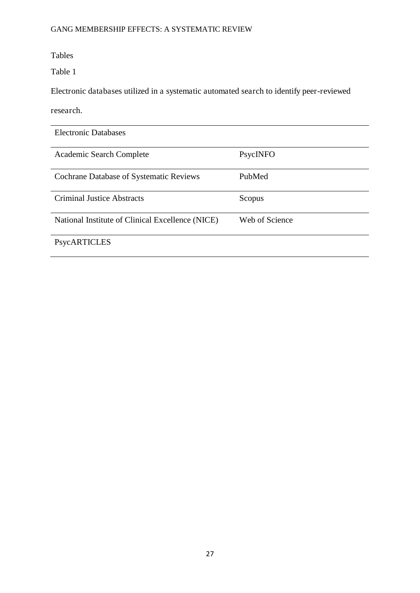Tables

Table 1

Electronic databases utilized in a systematic automated search to identify peer-reviewed

research.

| <b>Electronic Databases</b>                      |                |
|--------------------------------------------------|----------------|
| Academic Search Complete                         | PsycINFO       |
| <b>Cochrane Database of Systematic Reviews</b>   | PubMed         |
| <b>Criminal Justice Abstracts</b>                | Scopus         |
| National Institute of Clinical Excellence (NICE) | Web of Science |
| PsycARTICLES                                     |                |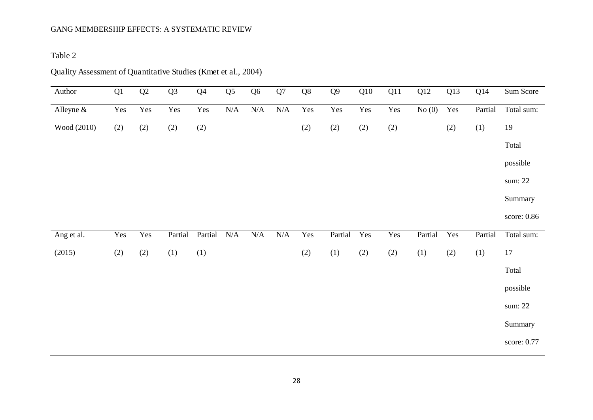Table 2

| Author      | Q1  | $\mathbf{Q}2$ | Q <sub>3</sub> | Q <sub>4</sub> | Q <sub>5</sub> | Q <sub>6</sub> | Q7        | Q <sub>8</sub> | Q <sub>9</sub> | Q10 | Q11 | Q12     | Q13 | Q14     | Sum Score   |
|-------------|-----|---------------|----------------|----------------|----------------|----------------|-----------|----------------|----------------|-----|-----|---------|-----|---------|-------------|
| Alleyne &   | Yes | Yes           | Yes            | Yes            | $\rm N/A$      | $\rm N/A$      | $\rm N/A$ | Yes            | Yes            | Yes | Yes | No(0)   | Yes | Partial | Total sum:  |
| Wood (2010) | (2) | (2)           | $(2)$          | (2)            |                |                |           | (2)            | $(2)$          | (2) | (2) |         | (2) | (1)     | 19          |
|             |     |               |                |                |                |                |           |                |                |     |     |         |     |         | Total       |
|             |     |               |                |                |                |                |           |                |                |     |     |         |     |         | possible    |
|             |     |               |                |                |                |                |           |                |                |     |     |         |     |         | sum: 22     |
|             |     |               |                |                |                |                |           |                |                |     |     |         |     |         | Summary     |
|             |     |               |                |                |                |                |           |                |                |     |     |         |     |         | score: 0.86 |
| Ang et al.  | Yes | Yes           | Partial        | Partial        | N/A            | $\rm N/A$      | $\rm N/A$ | Yes            | Partial        | Yes | Yes | Partial | Yes | Partial | Total sum:  |
| (2015)      | (2) | (2)           | (1)            | (1)            |                |                |           | (2)            | (1)            | (2) | (2) | (1)     | (2) | (1)     | $17\,$      |
|             |     |               |                |                |                |                |           |                |                |     |     |         |     |         | Total       |
|             |     |               |                |                |                |                |           |                |                |     |     |         |     |         | possible    |
|             |     |               |                |                |                |                |           |                |                |     |     |         |     |         | sum: 22     |
|             |     |               |                |                |                |                |           |                |                |     |     |         |     |         | Summary     |
|             |     |               |                |                |                |                |           |                |                |     |     |         |     |         | score: 0.77 |

Quality Assessment of Quantitative Studies (Kmet et al., 2004)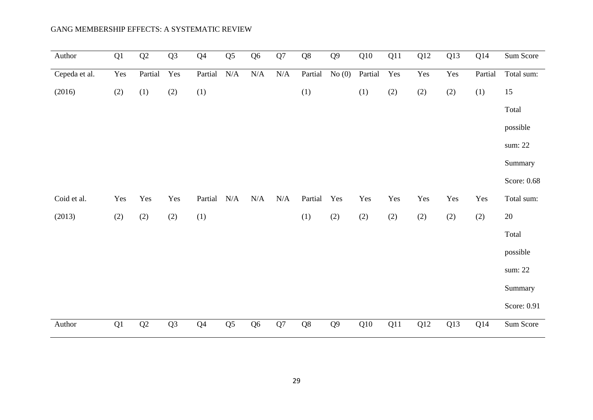| Author        | $\overline{Q1}$ | $\overline{Q2}$ | $\overline{Q3}$ | $\overline{Q4}$ | $\overline{Q5}$ | $\overline{Q6}$ | $\overline{Q7}$ | $\overline{Q8}$ | $\overline{Q9}$ | Q10     | $\overline{Q11}$ | $\overline{Q12}$ | Q13 | Q14     | Sum Score   |
|---------------|-----------------|-----------------|-----------------|-----------------|-----------------|-----------------|-----------------|-----------------|-----------------|---------|------------------|------------------|-----|---------|-------------|
| Cepeda et al. | Yes             | Partial         | Yes             | Partial         | $\rm N/A$       | $\rm N/A$       | $\rm N/A$       | Partial         | No(0)           | Partial | Yes              | Yes              | Yes | Partial | Total sum:  |
| (2016)        | (2)             | (1)             | (2)             | (1)             |                 |                 |                 | (1)             |                 | (1)     | (2)              | $(2)$            | (2) | (1)     | 15          |
|               |                 |                 |                 |                 |                 |                 |                 |                 |                 |         |                  |                  |     |         | Total       |
|               |                 |                 |                 |                 |                 |                 |                 |                 |                 |         |                  |                  |     |         | possible    |
|               |                 |                 |                 |                 |                 |                 |                 |                 |                 |         |                  |                  |     |         | sum: 22     |
|               |                 |                 |                 |                 |                 |                 |                 |                 |                 |         |                  |                  |     |         | Summary     |
|               |                 |                 |                 |                 |                 |                 |                 |                 |                 |         |                  |                  |     |         | Score: 0.68 |
| Coid et al.   | Yes             | Yes             | Yes             | Partial         | $\rm N/A$       | $\rm N/A$       | N/A             | Partial         | Yes             | Yes     | Yes              | Yes              | Yes | Yes     | Total sum:  |
| (2013)        | (2)             | (2)             | (2)             | (1)             |                 |                 |                 | (1)             | (2)             | (2)     | (2)              | $(2)$            | (2) | (2)     | $20\,$      |
|               |                 |                 |                 |                 |                 |                 |                 |                 |                 |         |                  |                  |     |         | Total       |
|               |                 |                 |                 |                 |                 |                 |                 |                 |                 |         |                  |                  |     |         | possible    |
|               |                 |                 |                 |                 |                 |                 |                 |                 |                 |         |                  |                  |     |         | sum: 22     |
|               |                 |                 |                 |                 |                 |                 |                 |                 |                 |         |                  |                  |     |         | Summary     |
|               |                 |                 |                 |                 |                 |                 |                 |                 |                 |         |                  |                  |     |         | Score: 0.91 |
| Author        | Q1              | Q2              | Q <sub>3</sub>  | Q <sub>4</sub>  | Q <sub>5</sub>  | Q <sub>6</sub>  | Q7              | Q8              | Q <sub>9</sub>  | Q10     | Q11              | Q12              | Q13 | Q14     | Sum Score   |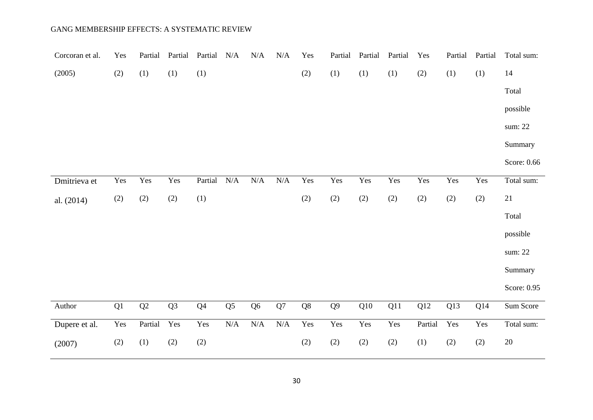| Corcoran et al. | Yes | Partial | Partial        | Partial        | N/A                     | N/A            | $\rm N/A$ | Yes | Partial        | Partial | Partial | Yes     | Partial | Partial | Total sum:  |
|-----------------|-----|---------|----------------|----------------|-------------------------|----------------|-----------|-----|----------------|---------|---------|---------|---------|---------|-------------|
| (2005)          | (2) | (1)     | (1)            | (1)            |                         |                |           | (2) | (1)            | (1)     | (1)     | (2)     | (1)     | (1)     | 14          |
|                 |     |         |                |                |                         |                |           |     |                |         |         |         |         |         | Total       |
|                 |     |         |                |                |                         |                |           |     |                |         |         |         |         |         | possible    |
|                 |     |         |                |                |                         |                |           |     |                |         |         |         |         |         | sum: 22     |
|                 |     |         |                |                |                         |                |           |     |                |         |         |         |         |         | Summary     |
|                 |     |         |                |                |                         |                |           |     |                |         |         |         |         |         | Score: 0.66 |
| Dmitrieva et    | Yes | Yes     | Yes            | Partial        | $\rm N/A$               | $\rm N/A$      | $\rm N/A$ | Yes | Yes            | Yes     | Yes     | Yes     | Yes     | Yes     | Total sum:  |
| al. (2014)      | (2) | (2)     | (2)            | (1)            |                         |                |           | (2) | (2)            | (2)     | (2)     | (2)     | (2)     | (2)     | 21          |
|                 |     |         |                |                |                         |                |           |     |                |         |         |         |         |         | Total       |
|                 |     |         |                |                |                         |                |           |     |                |         |         |         |         |         | possible    |
|                 |     |         |                |                |                         |                |           |     |                |         |         |         |         |         | sum: 22     |
|                 |     |         |                |                |                         |                |           |     |                |         |         |         |         |         | Summary     |
|                 |     |         |                |                |                         |                |           |     |                |         |         |         |         |         | Score: 0.95 |
| Author          | Q1  | Q2      | Q <sub>3</sub> | Q <sub>4</sub> | Q <sub>5</sub>          | Q <sub>6</sub> | Q7        | Q8  | Q <sub>9</sub> | Q10     | Q11     | Q12     | Q13     | Q14     | Sum Score   |
| Dupere et al.   | Yes | Partial | Yes            | Yes            | $\overline{\text{N/A}}$ | N/A            | N/A       | Yes | Yes            | Yes     | Yes     | Partial | Yes     | Yes     | Total sum:  |
| (2007)          | (2) | (1)     | (2)            | (2)            |                         |                |           | (2) | (2)            | (2)     | (2)     | (1)     | (2)     | (2)     | $20\,$      |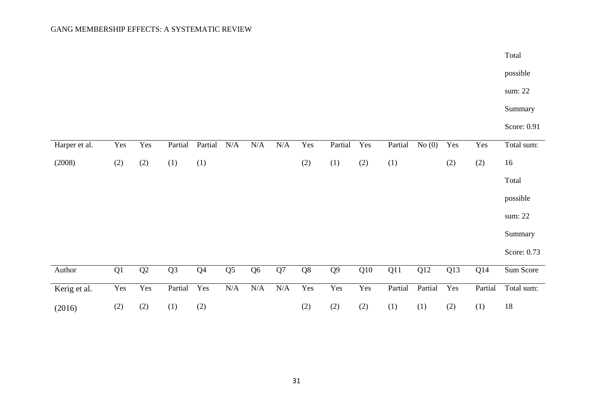|               |     |               |                |                |                |                |            |     |                |     |         |         |     |         | Total       |
|---------------|-----|---------------|----------------|----------------|----------------|----------------|------------|-----|----------------|-----|---------|---------|-----|---------|-------------|
|               |     |               |                |                |                |                |            |     |                |     |         |         |     |         | possible    |
|               |     |               |                |                |                |                |            |     |                |     |         |         |     |         | sum: 22     |
|               |     |               |                |                |                |                |            |     |                |     |         |         |     |         | Summary     |
|               |     |               |                |                |                |                |            |     |                |     |         |         |     |         | Score: 0.91 |
| Harper et al. | Yes | Yes           | Partial        | Partial        | $\rm N/A$      | $\rm N/A$      | $\rm N/A$  | Yes | Partial        | Yes | Partial | No(0)   | Yes | Yes     | Total sum:  |
| (2008)        | (2) | (2)           | (1)            | (1)            |                |                |            | (2) | (1)            | (2) | (1)     |         | (2) | (2)     | 16          |
|               |     |               |                |                |                |                |            |     |                |     |         |         |     |         | Total       |
|               |     |               |                |                |                |                |            |     |                |     |         |         |     |         | possible    |
|               |     |               |                |                |                |                |            |     |                |     |         |         |     |         | sum: 22     |
|               |     |               |                |                |                |                |            |     |                |     |         |         |     |         | Summary     |
|               |     |               |                |                |                |                |            |     |                |     |         |         |     |         | Score: 0.73 |
| Author        | Q1  | $\mathbf{Q}2$ | Q <sub>3</sub> | Q <sub>4</sub> | Q <sub>5</sub> | Q <sub>6</sub> | ${\bf Q}7$ | Q8  | Q <sub>9</sub> | Q10 | Q11     | Q12     | Q13 | Q14     | Sum Score   |
| Kerig et al.  | Yes | Yes           | Partial        | Yes            | $\rm N/A$      | N/A            | N/A        | Yes | Yes            | Yes | Partial | Partial | Yes | Partial | Total sum:  |
| (2016)        | (2) | (2)           | (1)            | (2)            |                |                |            | (2) | (2)            | (2) | (1)     | (1)     | (2) | (1)     | $18\,$      |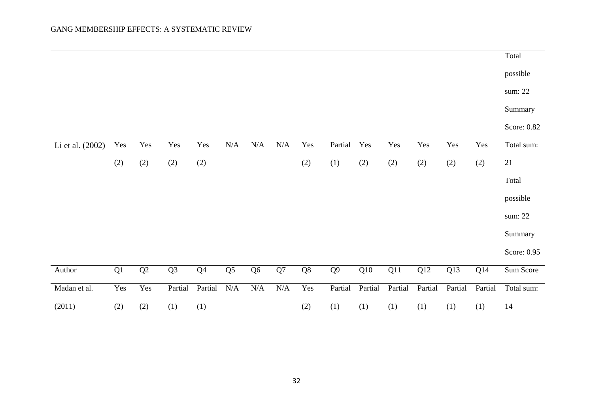|                  |               |               |                |                |                |           |           |     |         |         |         |         |         |         | Total       |
|------------------|---------------|---------------|----------------|----------------|----------------|-----------|-----------|-----|---------|---------|---------|---------|---------|---------|-------------|
|                  |               |               |                |                |                |           |           |     |         |         |         |         |         |         | possible    |
|                  |               |               |                |                |                |           |           |     |         |         |         |         |         |         | sum: 22     |
|                  |               |               |                |                |                |           |           |     |         |         |         |         |         |         | Summary     |
|                  |               |               |                |                |                |           |           |     |         |         |         |         |         |         | Score: 0.82 |
| Li et al. (2002) | Yes           | Yes           | Yes            | Yes            | N/A            | N/A       | $\rm N/A$ | Yes | Partial | Yes     | Yes     | Yes     | Yes     | Yes     | Total sum:  |
|                  | (2)           | $(2)$         | (2)            | (2)            |                |           |           | (2) | (1)     | (2)     | $(2)$   | $(2)$   | (2)     | (2)     | 21          |
|                  |               |               |                |                |                |           |           |     |         |         |         |         |         |         | Total       |
|                  |               |               |                |                |                |           |           |     |         |         |         |         |         |         | possible    |
|                  |               |               |                |                |                |           |           |     |         |         |         |         |         |         | sum: 22     |
|                  |               |               |                |                |                |           |           |     |         |         |         |         |         |         | Summary     |
|                  |               |               |                |                |                |           |           |     |         |         |         |         |         |         | Score: 0.95 |
| Author           | $\mathbf{Q}1$ | $\mathbf{Q}2$ | Q <sub>3</sub> | Q <sub>4</sub> | Q <sub>5</sub> | $Q6$      | Q7        | Q8  | $Q9$    | Q10     | Q11     | Q12     | Q13     | Q14     | Sum Score   |
| Madan et al.     | Yes           | Yes           | Partial        | Partial        | $\rm N/A$      | $\rm N/A$ | N/A       | Yes | Partial | Partial | Partial | Partial | Partial | Partial | Total sum:  |
| (2011)           | (2)           | (2)           | (1)            | (1)            |                |           |           | (2) | (1)     | (1)     | (1)     | (1)     | (1)     | (1)     | 14          |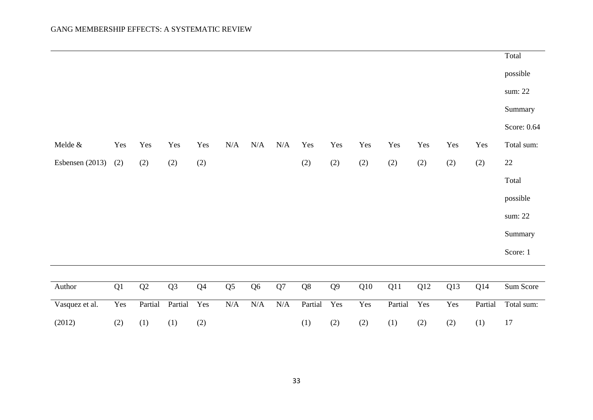|                   |     |                 |                |                |                |                |           |               |                |     |         |       |     |         | Total       |
|-------------------|-----|-----------------|----------------|----------------|----------------|----------------|-----------|---------------|----------------|-----|---------|-------|-----|---------|-------------|
|                   |     |                 |                |                |                |                |           |               |                |     |         |       |     |         | possible    |
|                   |     |                 |                |                |                |                |           |               |                |     |         |       |     |         | sum: 22     |
|                   |     |                 |                |                |                |                |           |               |                |     |         |       |     |         | Summary     |
|                   |     |                 |                |                |                |                |           |               |                |     |         |       |     |         | Score: 0.64 |
| Melde $&$         | Yes | Yes             | Yes            | Yes            | N/A            | N/A            | N/A       | Yes           | Yes            | Yes | Yes     | Yes   | Yes | Yes     | Total sum:  |
| Esbensen $(2013)$ | (2) | (2)             | (2)            | (2)            |                |                |           | (2)           | (2)            | (2) | $(2)$   | $(2)$ | (2) | (2)     | $22\,$      |
|                   |     |                 |                |                |                |                |           |               |                |     |         |       |     |         | Total       |
|                   |     |                 |                |                |                |                |           |               |                |     |         |       |     |         | possible    |
|                   |     |                 |                |                |                |                |           |               |                |     |         |       |     |         | sum: 22     |
|                   |     |                 |                |                |                |                |           |               |                |     |         |       |     |         | Summary     |
|                   |     |                 |                |                |                |                |           |               |                |     |         |       |     |         | Score: 1    |
|                   |     |                 |                |                |                |                |           |               |                |     |         |       |     |         |             |
| Author            | Q1  | $\overline{Q2}$ | Q <sub>3</sub> | Q <sub>4</sub> | Q <sub>5</sub> | Q <sub>6</sub> | Q7        | $\mathbf{Q}8$ | Q <sub>9</sub> | Q10 | Q11     | Q12   | Q13 | Q14     | Sum Score   |
| Vasquez et al.    | Yes | Partial         | Partial        | Yes            | $\rm N/A$      | $\rm N/A$      | $\rm N/A$ | Partial       | Yes            | Yes | Partial | Yes   | Yes | Partial | Total sum:  |
| (2012)            | (2) | (1)             | (1)            | (2)            |                |                |           | (1)           | (2)            | (2) | (1)     | (2)   | (2) | (1)     | 17          |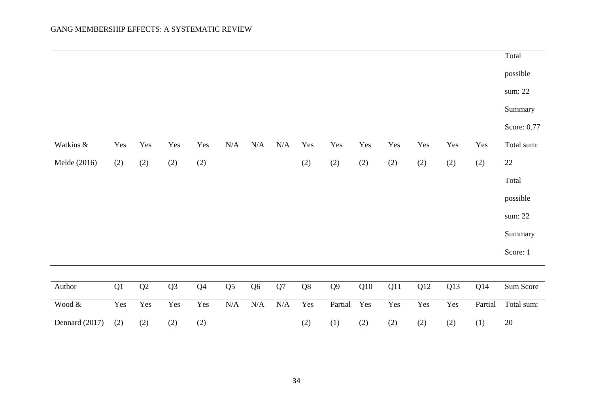|                |     |     |                |                |                |                |           |     |                |     |     |       |       |         | Total       |
|----------------|-----|-----|----------------|----------------|----------------|----------------|-----------|-----|----------------|-----|-----|-------|-------|---------|-------------|
|                |     |     |                |                |                |                |           |     |                |     |     |       |       |         | possible    |
|                |     |     |                |                |                |                |           |     |                |     |     |       |       |         | sum: 22     |
|                |     |     |                |                |                |                |           |     |                |     |     |       |       |         | Summary     |
|                |     |     |                |                |                |                |           |     |                |     |     |       |       |         | Score: 0.77 |
| Watkins &      | Yes | Yes | Yes            | Yes            | N/A            | N/A            | N/A       | Yes | Yes            | Yes | Yes | Yes   | Yes   | Yes     | Total sum:  |
| Melde (2016)   | (2) | (2) | (2)            | (2)            |                |                |           | (2) | (2)            | (2) | (2) | $(2)$ | $(2)$ | (2)     | $22\,$      |
|                |     |     |                |                |                |                |           |     |                |     |     |       |       |         | Total       |
|                |     |     |                |                |                |                |           |     |                |     |     |       |       |         | possible    |
|                |     |     |                |                |                |                |           |     |                |     |     |       |       |         | sum: 22     |
|                |     |     |                |                |                |                |           |     |                |     |     |       |       |         | Summary     |
|                |     |     |                |                |                |                |           |     |                |     |     |       |       |         | Score: 1    |
|                |     |     |                |                |                |                |           |     |                |     |     |       |       |         |             |
| Author         | Q1  | Q2  | Q <sub>3</sub> | Q <sub>4</sub> | Q <sub>5</sub> | Q <sub>6</sub> | Q7        | Q8  | Q <sub>9</sub> | Q10 | Q11 | Q12   | Q13   | Q14     | Sum Score   |
| Wood $\&$      | Yes | Yes | Yes            | Yes            | $\rm N/A$      | $\rm N/A$      | $\rm N/A$ | Yes | Partial        | Yes | Yes | Yes   | Yes   | Partial | Total sum:  |
| Dennard (2017) | (2) | (2) | (2)            | (2)            |                |                |           | (2) | (1)            | (2) | (2) | (2)   | (2)   | (1)     | 20          |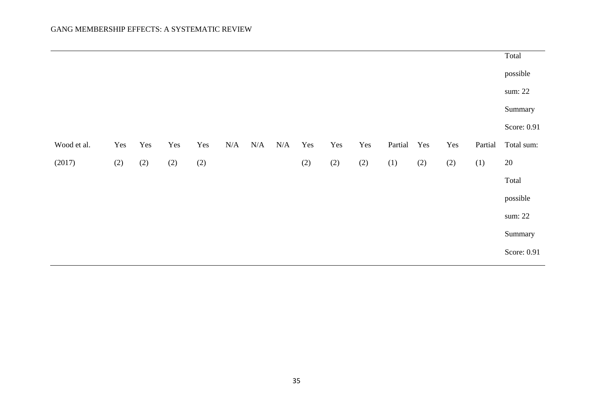|             |     |     |     |     |     |     |     |     |     |     |         |                   |       |         | Total       |
|-------------|-----|-----|-----|-----|-----|-----|-----|-----|-----|-----|---------|-------------------|-------|---------|-------------|
|             |     |     |     |     |     |     |     |     |     |     |         |                   |       |         | possible    |
|             |     |     |     |     |     |     |     |     |     |     |         |                   |       |         | sum: 22     |
|             |     |     |     |     |     |     |     |     |     |     |         |                   |       |         | Summary     |
|             |     |     |     |     |     |     |     |     |     |     |         |                   |       |         | Score: 0.91 |
| Wood et al. | Yes | Yes | Yes | Yes | N/A | N/A | N/A | Yes | Yes | Yes | Partial | Yes               | Yes   | Partial | Total sum:  |
| (2017)      | (2) | (2) | (2) | (2) |     |     |     | (2) | (2) | (2) | (1)     | $\left( 2\right)$ | $(2)$ | (1)     | $20\,$      |
|             |     |     |     |     |     |     |     |     |     |     |         |                   |       |         | Total       |
|             |     |     |     |     |     |     |     |     |     |     |         |                   |       |         | possible    |
|             |     |     |     |     |     |     |     |     |     |     |         |                   |       |         | sum: 22     |
|             |     |     |     |     |     |     |     |     |     |     |         |                   |       |         | Summary     |
|             |     |     |     |     |     |     |     |     |     |     |         |                   |       |         | Score: 0.91 |
|             |     |     |     |     |     |     |     |     |     |     |         |                   |       |         |             |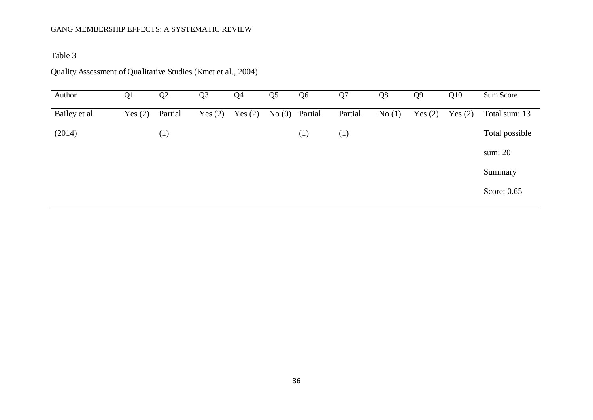Table 3

# Quality Assessment of Qualitative Studies (Kmet et al., 2004)

| Author        | Q <sub>1</sub> | Q2               | Q <sub>3</sub> | Q <sub>4</sub> | Q <sub>5</sub> | Q <sub>6</sub> | Q <sub>7</sub> | Q8    | Q <sub>9</sub> | Q10       | Sum Score      |
|---------------|----------------|------------------|----------------|----------------|----------------|----------------|----------------|-------|----------------|-----------|----------------|
| Bailey et al. | Yes $(2)$      | Partial          | Yes $(2)$      | Yes $(2)$      |                | No (0) Partial | Partial        | No(1) | Yes $(2)$      | Yes $(2)$ | Total sum: 13  |
| (2014)        |                | $\left(1\right)$ |                |                |                | (1)            | (1)            |       |                |           | Total possible |
|               |                |                  |                |                |                |                |                |       |                |           | sum: 20        |
|               |                |                  |                |                |                |                |                |       |                |           | Summary        |
|               |                |                  |                |                |                |                |                |       |                |           | Score: 0.65    |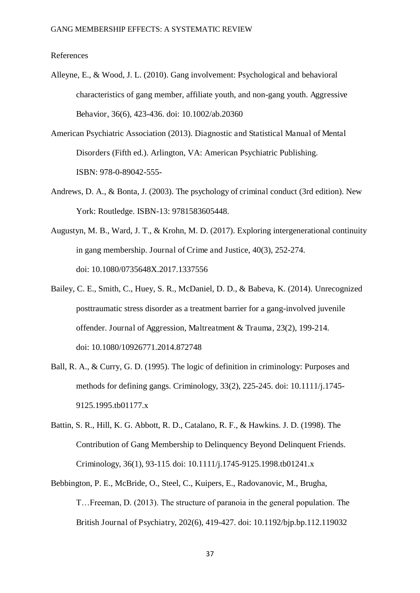#### References

- Alleyne, E., & Wood, J. L. (2010). Gang involvement: Psychological and behavioral characteristics of gang member, affiliate youth, and non-gang youth. Aggressive Behavior, 36(6), 423-436. doi: 10.1002/ab.20360
- American Psychiatric Association (2013). Diagnostic and Statistical Manual of Mental Disorders (Fifth ed.). Arlington, VA: American Psychiatric Publishing. ISBN: 978-0-89042-555-
- Andrews, D. A., & Bonta, J. (2003). The psychology of criminal conduct (3rd edition). New York: Routledge. ISBN-13: 9781583605448.
- Augustyn, M. B., Ward, J. T., & Krohn, M. D. (2017). Exploring intergenerational continuity in gang membership. Journal of Crime and Justice, 40(3), 252-274. doi: 10.1080/0735648X.2017.1337556
- Bailey, C. E., Smith, C., Huey, S. R., McDaniel, D. D., & Babeva, K. (2014). Unrecognized posttraumatic stress disorder as a treatment barrier for a gang-involved juvenile offender. Journal of Aggression, Maltreatment & Trauma, 23(2), 199-214. doi: 10.1080/10926771.2014.872748
- Ball, R. A., & Curry, G. D. (1995). The logic of definition in criminology: Purposes and methods for defining gangs. Criminology, 33(2), 225-245. doi: 10.1111/j.1745- 9125.1995.tb01177.x
- Battin, S. R., Hill, K. G. Abbott, R. D., Catalano, R. F., & Hawkins. J. D. (1998). The Contribution of Gang Membership to Delinquency Beyond Delinquent Friends. Criminology, 36(1), 93-115. doi: 10.1111/j.1745-9125.1998.tb01241.x
- Bebbington, P. E., McBride, O., Steel, C., Kuipers, E., Radovanovic, M., Brugha, T…Freeman, D. (2013). The structure of paranoia in the general population. The British Journal of Psychiatry, 202(6), 419-427. doi: 10.1192/bjp.bp.112.119032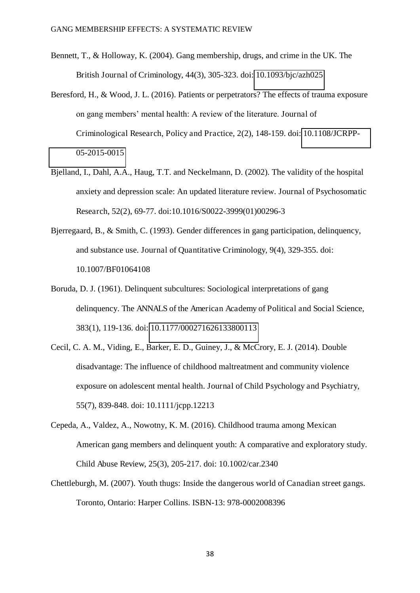- Bennett, T., & Holloway, K. (2004). Gang membership, drugs, and crime in the UK. The British Journal of Criminology, 44(3), 305-323. doi: [10.1093/bjc/azh025](https://doi.org/10.1093/bjc/azh025)
- Beresford, H., & Wood, J. L. (2016). Patients or perpetrators? The effects of trauma exposure on gang members' mental health: A review of the literature. Journal of Criminological Research, Policy and Practice, 2(2), 148-159. doi: [10.1108/JCRPP-](http://dx.doi.org/10.1108/JCRPP-05-2015-0015)[05-2015-0015](http://dx.doi.org/10.1108/JCRPP-05-2015-0015)
- Bjelland, I., Dahl, A.A., Haug, T.T. and Neckelmann, D. (2002). The validity of the hospital anxiety and depression scale: An updated literature review. Journal of Psychosomatic Research, 52(2), 69-77. doi:10.1016/S0022-3999(01)00296-3
- Bjerregaard, B., & Smith, C. (1993). Gender differences in gang participation, delinquency, and substance use. Journal of Quantitative Criminology, 9(4), 329-355. doi: 10.1007/BF01064108
- Boruda, D. J. (1961). Delinquent subcultures: Sociological interpretations of gang delinquency. The ANNALS of the American Academy of Political and Social Science, 383(1), 119-136. doi: [10.1177/000271626133800113](https://doi.org/10.1177/000271626133800113)
- Cecil, C. A. M., Viding, E., Barker, E. D., Guiney, J., & McCrory, E. J. (2014). Double disadvantage: The influence of childhood maltreatment and community violence exposure on adolescent mental health. Journal of Child Psychology and Psychiatry, 55(7), 839-848. doi: 10.1111/jcpp.12213
- Cepeda, A., Valdez, A., Nowotny, K. M. (2016). Childhood trauma among Mexican American gang members and delinquent youth: A comparative and exploratory study. Child Abuse Review, 25(3), 205-217. doi: 10.1002/car.2340
- Chettleburgh, M. (2007). Youth thugs: Inside the dangerous world of Canadian street gangs. Toronto, Ontario: Harper Collins. ISBN-13: 978-0002008396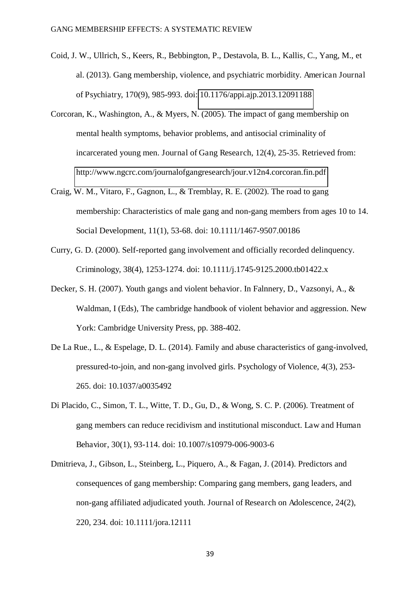- Coid, J. W., Ullrich, S., Keers, R., Bebbington, P., Destavola, B. L., Kallis, C., Yang, M., et al. (2013). Gang membership, violence, and psychiatric morbidity. American Journal of Psychiatry, 170(9), 985-993. doi: [10.1176/appi.ajp.2013.12091188](http://dx.doi.org.chain.kent.ac.uk/10.1176/appi.ajp.2013.12091188)
- Corcoran, K., Washington, A., & Myers, N. (2005). The impact of gang membership on mental health symptoms, behavior problems, and antisocial criminality of incarcerated young men. Journal of Gang Research, 12(4), 25-35. Retrieved from: <http://www.ngcrc.com/journalofgangresearch/jour.v12n4.corcoran.fin.pdf>
- Craig, W. M., Vitaro, F., Gagnon, L., & Tremblay, R. E. (2002). The road to gang membership: Characteristics of male gang and non-gang members from ages 10 to 14. Social Development, 11(1), 53-68. doi: 10.1111/1467-9507.00186
- Curry, G. D. (2000). Self-reported gang involvement and officially recorded delinquency. Criminology, 38(4), 1253-1274. doi: 10.1111/j.1745-9125.2000.tb01422.x
- Decker, S. H. (2007). Youth gangs and violent behavior. In Falnnery, D., Vazsonyi, A., & Waldman, I (Eds), The cambridge handbook of violent behavior and aggression. New York: Cambridge University Press, pp. 388-402.
- De La Rue., L., & Espelage, D. L. (2014). Family and abuse characteristics of gang-involved, pressured-to-join, and non-gang involved girls. Psychology of Violence, 4(3), 253- 265. doi: 10.1037/a0035492
- Di Placido, C., Simon, T. L., Witte, T. D., Gu, D., & Wong, S. C. P. (2006). Treatment of gang members can reduce recidivism and institutional misconduct. Law and Human Behavior, 30(1), 93-114. doi: 10.1007/s10979-006-9003-6
- Dmitrieva, J., Gibson, L., Steinberg, L., Piquero, A., & Fagan, J. (2014). Predictors and consequences of gang membership: Comparing gang members, gang leaders, and non-gang affiliated adjudicated youth. Journal of Research on Adolescence, 24(2), 220, 234. doi: 10.1111/jora.12111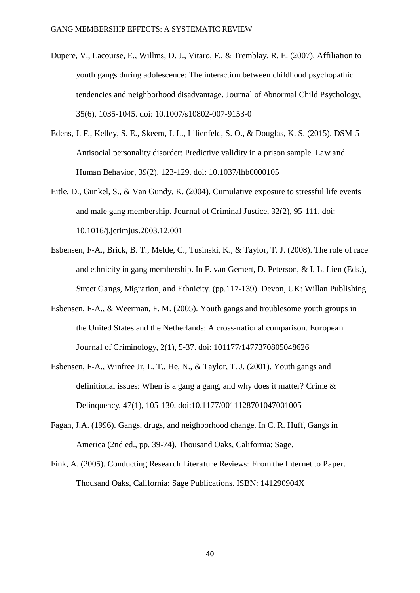- Dupere, V., Lacourse, E., Willms, D. J., Vitaro, F., & Tremblay, R. E. (2007). Affiliation to youth gangs during adolescence: The interaction between childhood psychopathic tendencies and neighborhood disadvantage. Journal of Abnormal Child Psychology, 35(6), 1035-1045. doi: 10.1007/s10802-007-9153-0
- Edens, J. F., Kelley, S. E., Skeem, J. L., Lilienfeld, S. O., & Douglas, K. S. (2015). DSM-5 Antisocial personality disorder: Predictive validity in a prison sample. Law and Human Behavior, 39(2), 123-129. doi: 10.1037/lhb0000105
- Eitle, D., Gunkel, S., & Van Gundy, K. (2004). Cumulative exposure to stressful life events and male gang membership. Journal of Criminal Justice, 32(2), 95-111. doi: 10.1016/j.jcrimjus.2003.12.001
- Esbensen, F-A., Brick, B. T., Melde, C., Tusinski, K., & Taylor, T. J. (2008). The role of race and ethnicity in gang membership. In F. van Gemert, D. Peterson, & I. L. Lien (Eds.), Street Gangs, Migration, and Ethnicity. (pp.117-139). Devon, UK: Willan Publishing.
- Esbensen, F-A., & Weerman, F. M. (2005). Youth gangs and troublesome youth groups in the United States and the Netherlands: A cross-national comparison. European Journal of Criminology, 2(1), 5-37. doi: 101177/1477370805048626
- Esbensen, F-A., Winfree Jr, L. T., He, N., & Taylor, T. J. (2001). Youth gangs and definitional issues: When is a gang a gang, and why does it matter? Crime & Delinquency, 47(1), 105-130. doi:10.1177/0011128701047001005
- Fagan, J.A. (1996). Gangs, drugs, and neighborhood change. In C. R. Huff, Gangs in America (2nd ed., pp. 39-74). Thousand Oaks, California: Sage.
- Fink, A. (2005). Conducting Research Literature Reviews: From the Internet to Paper. Thousand Oaks, California: Sage Publications. ISBN: 141290904X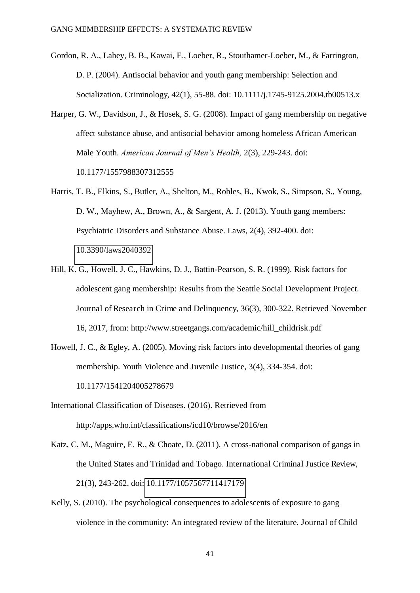- Gordon, R. A., Lahey, B. B., Kawai, E., Loeber, R., Stouthamer-Loeber, M., & Farrington, D. P. (2004). Antisocial behavior and youth gang membership: Selection and Socialization. Criminology, 42(1), 55-88. doi: 10.1111/j.1745-9125.2004.tb00513.x
- Harper, G. W., Davidson, J., & Hosek, S. G. (2008). Impact of gang membership on negative affect substance abuse, and antisocial behavior among homeless African American Male Youth. *American Journal of Men's Health,* 2(3), 229-243. doi: 10.1177/1557988307312555
- Harris, T. B., Elkins, S., Butler, A., Shelton, M., Robles, B., Kwok, S., Simpson, S., Young, D. W., Mayhew, A., Brown, A., & Sargent, A. J. (2013). Youth gang members: Psychiatric Disorders and Substance Abuse. Laws, 2(4), 392-400. doi: [10.3390/laws2040392](http://dx.doi.org/10.3390/laws2040392)
- Hill, K. G., Howell, J. C., Hawkins, D. J., Battin-Pearson, S. R. (1999). Risk factors for adolescent gang membership: Results from the Seattle Social Development Project. Journal of Research in Crime and Delinquency, 36(3), 300-322. Retrieved November 16, 2017, from: http://www.streetgangs.com/academic/hill\_childrisk.pdf
- Howell, J. C., & Egley, A. (2005). Moving risk factors into developmental theories of gang membership. Youth Violence and Juvenile Justice, 3(4), 334-354. doi: 10.1177/1541204005278679
- International Classification of Diseases. (2016). Retrieved from http://apps.who.int/classifications/icd10/browse/2016/en
- Katz, C. M., Maguire, E. R., & Choate, D. (2011). A cross-national comparison of gangs in the United States and Trinidad and Tobago. International Criminal Justice Review, 21(3), 243-262. doi: [10.1177/1057567711417179](https://doi.org/10.1177/1057567711417179)
- Kelly, S. (2010). The psychological consequences to adolescents of exposure to gang violence in the community: An integrated review of the literature. Journal of Child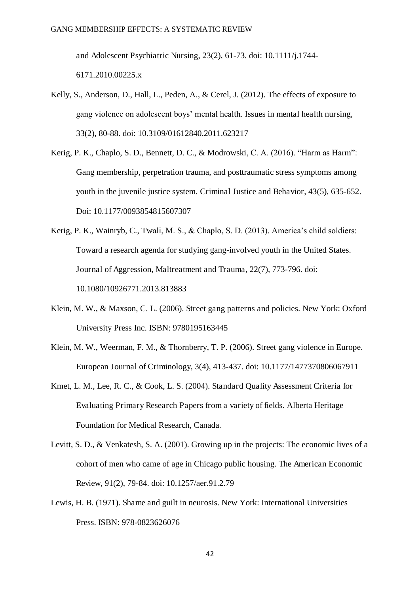and Adolescent Psychiatric Nursing, 23(2), 61-73. doi: 10.1111/j.1744- 6171.2010.00225.x

- Kelly, S., Anderson, D., Hall, L., Peden, A., & Cerel, J. (2012). The effects of exposure to gang violence on adolescent boys' mental health. Issues in mental health nursing, 33(2), 80-88. doi: 10.3109/01612840.2011.623217
- Kerig, P. K., Chaplo, S. D., Bennett, D. C., & Modrowski, C. A. (2016). "Harm as Harm": Gang membership, perpetration trauma, and posttraumatic stress symptoms among youth in the juvenile justice system. Criminal Justice and Behavior, 43(5), 635-652. Doi: 10.1177/0093854815607307
- Kerig, P. K., Wainryb, C., Twali, M. S., & Chaplo, S. D. (2013). America's child soldiers: Toward a research agenda for studying gang-involved youth in the United States. Journal of Aggression, Maltreatment and Trauma, 22(7), 773-796. doi: 10.1080/10926771.2013.813883
- Klein, M. W., & Maxson, C. L. (2006). Street gang patterns and policies. New York: Oxford University Press Inc. ISBN: 9780195163445
- Klein, M. W., Weerman, F. M., & Thornberry, T. P. (2006). Street gang violence in Europe. European Journal of Criminology, 3(4), 413-437. doi: 10.1177/1477370806067911
- Kmet, L. M., Lee, R. C., & Cook, L. S. (2004). Standard Quality Assessment Criteria for Evaluating Primary Research Papers from a variety of fields. Alberta Heritage Foundation for Medical Research, Canada.
- Levitt, S. D., & Venkatesh, S. A. (2001). Growing up in the projects: The economic lives of a cohort of men who came of age in Chicago public housing. The American Economic Review, 91(2), 79-84. doi: 10.1257/aer.91.2.79
- Lewis, H. B. (1971). Shame and guilt in neurosis. New York: International Universities Press. ISBN: 978-0823626076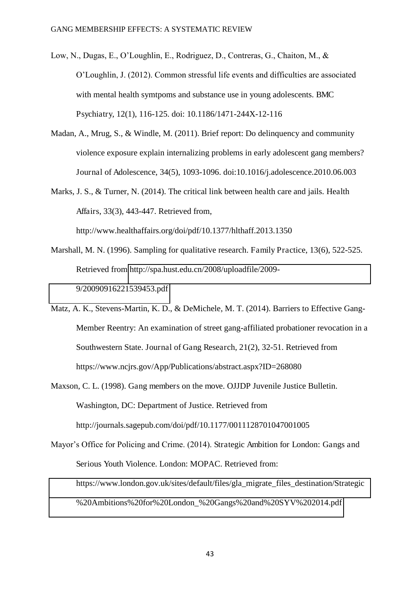- Low, N., Dugas, E., O'Loughlin, E., Rodriguez, D., Contreras, G., Chaiton, M., & O'Loughlin, J. (2012). Common stressful life events and difficulties are associated with mental health symtpoms and substance use in young adolescents. BMC Psychiatry, 12(1), 116-125. doi: 10.1186/1471-244X-12-116
- Madan, A., Mrug, S., & Windle, M. (2011). Brief report: Do delinquency and community violence exposure explain internalizing problems in early adolescent gang members? Journal of Adolescence, 34(5), 1093-1096. doi:10.1016/j.adolescence.2010.06.003
- Marks, J. S., & Turner, N. (2014). The critical link between health care and jails. Health Affairs, 33(3), 443-447. Retrieved from,

http://www.healthaffairs.org/doi/pdf/10.1377/hlthaff.2013.1350

- Marshall, M. N. (1996). Sampling for qualitative research. Family Practice, 13(6), 522-525. Retrieved from [http://spa.hust.edu.cn/2008/uploadfile/2009-](http://spa.hust.edu.cn/2008/uploadfile/2009-9/20090916221539453.pdf) [9/20090916221539453.pdf](http://spa.hust.edu.cn/2008/uploadfile/2009-9/20090916221539453.pdf)
- Matz, A. K., Stevens-Martin, K. D., & DeMichele, M. T. (2014). Barriers to Effective Gang-Member Reentry: An examination of street gang-affiliated probationer revocation in a Southwestern State. Journal of Gang Research, 21(2), 32-51. Retrieved from https://www.ncjrs.gov/App/Publications/abstract.aspx?ID=268080
- Maxson, C. L. (1998). Gang members on the move. OJJDP Juvenile Justice Bulletin. Washington, DC: Department of Justice. Retrieved from http://journals.sagepub.com/doi/pdf/10.1177/0011128701047001005
- Mayor's Office for Policing and Crime. (2014). Strategic Ambition for London: Gangs and Serious Youth Violence. London: MOPAC. Retrieved from: [https://www.london.gov.uk/sites/default/files/gla\\_migrate\\_files\\_destination/Strategic](https://www.london.gov.uk/sites/default/files/gla_migrate_files_destination/Strategic%20Ambitions%20for%20London_%20Gangs%20and%20SYV%202014.pdf) [%20Ambitions%20for%20London\\_%20Gangs%20and%20SYV%202014.pdf](https://www.london.gov.uk/sites/default/files/gla_migrate_files_destination/Strategic%20Ambitions%20for%20London_%20Gangs%20and%20SYV%202014.pdf)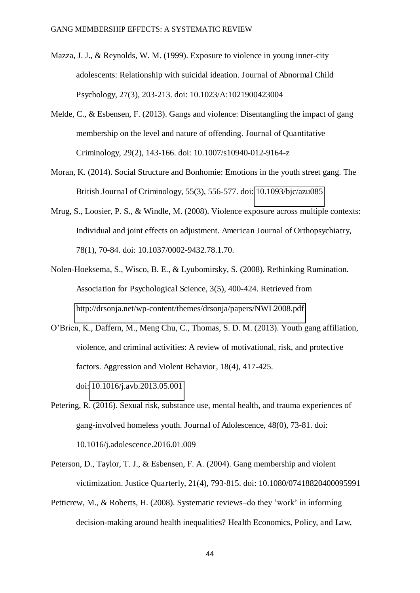- Mazza, J. J., & Reynolds, W. M. (1999). Exposure to violence in young inner-city adolescents: Relationship with suicidal ideation. Journal of Abnormal Child Psychology, 27(3), 203-213. doi: 10.1023/A:1021900423004
- Melde, C., & Esbensen, F. (2013). Gangs and violence: Disentangling the impact of gang membership on the level and nature of offending. Journal of Quantitative Criminology, 29(2), 143-166. doi: 10.1007/s10940-012-9164-z
- Moran, K. (2014). Social Structure and Bonhomie: Emotions in the youth street gang. The British Journal of Criminology, 55(3), 556-577. doi: [10.1093/bjc/azu085](https://doi.org/10.1093/bjc/azu085)
- Mrug, S., Loosier, P. S., & Windle, M. (2008). Violence exposure across multiple contexts: Individual and joint effects on adjustment. American Journal of Orthopsychiatry, 78(1), 70-84. doi: 10.1037/0002-9432.78.1.70.
- Nolen-Hoeksema, S., Wisco, B. E., & Lyubomirsky, S. (2008). Rethinking Rumination. Association for Psychological Science, 3(5), 400-424. Retrieved from <http://drsonja.net/wp-content/themes/drsonja/papers/NWL2008.pdf>
- O'Brien, K., Daffern, M., Meng Chu, C., Thomas, S. D. M. (2013). Youth gang affiliation, violence, and criminal activities: A review of motivational, risk, and protective factors. Aggression and Violent Behavior, 18(4), 417-425. doi: [10.1016/j.avb.2013.05.001](https://doi.org/10.1016/j.avb.2013.05.001)
- Petering, R. (2016). Sexual risk, substance use, mental health, and trauma experiences of gang-involved homeless youth. Journal of Adolescence, 48(0), 73-81. doi: 10.1016/j.adolescence.2016.01.009
- Peterson, D., Taylor, T. J., & Esbensen, F. A. (2004). Gang membership and violent victimization. Justice Quarterly, 21(4), 793-815. doi: 10.1080/07418820400095991
- Petticrew, M., & Roberts, H. (2008). Systematic reviews–do they 'work' in informing decision-making around health inequalities? Health Economics, Policy, and Law,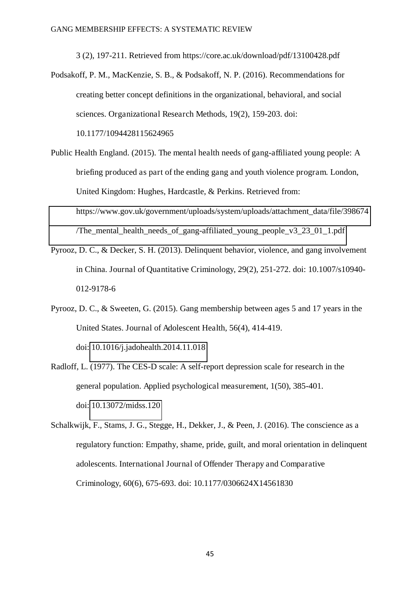3 (2), 197-211. Retrieved from https://core.ac.uk/download/pdf/13100428.pdf

- Podsakoff, P. M., MacKenzie, S. B., & Podsakoff, N. P. (2016). Recommendations for creating better concept definitions in the organizational, behavioral, and social sciences. Organizational Research Methods, 19(2), 159-203. doi: 10.1177/1094428115624965
- Public Health England. (2015). The mental health needs of gang-affiliated young people: A briefing produced as part of the ending gang and youth violence program. London, United Kingdom: Hughes, Hardcastle, & Perkins. Retrieved from: [https://www.gov.uk/government/uploads/system/uploads/attachment\\_data/file/398674](https://www.gov.uk/government/uploads/system/uploads/attachment_data/file/398674/The_mental_health_needs_of_gang-affiliated_young_people_v3_23_01_1.pdf) The mental health needs of gang-affiliated young people v3 23 01 1.pdf
- Pyrooz, D. C., & Decker, S. H. (2013). Delinquent behavior, violence, and gang involvement in China. Journal of Quantitative Criminology, 29(2), 251-272. doi: 10.1007/s10940- 012-9178-6
- Pyrooz, D. C., & Sweeten, G. (2015). Gang membership between ages 5 and 17 years in the United States. Journal of Adolescent Health, 56(4), 414-419. doi: [10.1016/j.jadohealth.2014.11.018](http://dx.doi.org/10.1016/j.jadohealth.2014.11.018)
- Radloff, L. (1977). The CES-D scale: A self-report depression scale for research in the general population. Applied psychological measurement, 1(50), 385-401. doi: [10.13072/midss.120](http://dx.doi.org/10.13072/midss.120)
- Schalkwijk, F., Stams, J. G., Stegge, H., Dekker, J., & Peen, J. (2016). The conscience as a regulatory function: Empathy, shame, pride, guilt, and moral orientation in delinquent adolescents. International Journal of Offender Therapy and Comparative Criminology, 60(6), 675-693. doi: 10.1177/0306624X14561830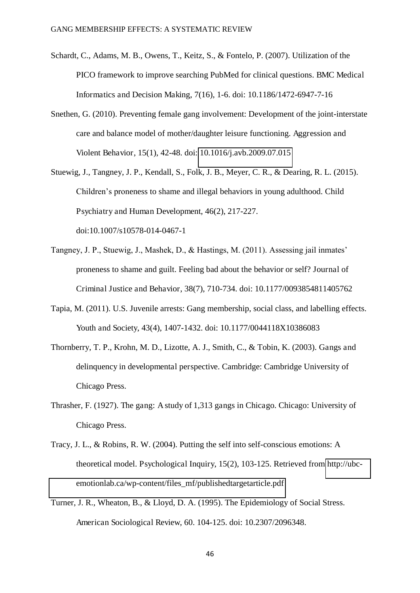- Schardt, C., Adams, M. B., Owens, T., Keitz, S., & Fontelo, P. (2007). Utilization of the PICO framework to improve searching PubMed for clinical questions. BMC Medical Informatics and Decision Making, 7(16), 1-6. doi: 10.1186/1472-6947-7-16
- Snethen, G. (2010). Preventing female gang involvement: Development of the joint-interstate care and balance model of mother/daughter leisure functioning. Aggression and Violent Behavior, 15(1), 42-48. doi: [10.1016/j.avb.2009.07.015](https://doi.org/10.1016/j.avb.2009.07.015)
- Stuewig, J., Tangney, J. P., Kendall, S., Folk, J. B., Meyer, C. R., & Dearing, R. L. (2015). Children's proneness to shame and illegal behaviors in young adulthood. Child Psychiatry and Human Development, 46(2), 217-227. doi:10.1007/s10578-014-0467-1
- Tangney, J. P., Stuewig, J., Mashek, D., & Hastings, M. (2011). Assessing jail inmates' proneness to shame and guilt. Feeling bad about the behavior or self? Journal of Criminal Justice and Behavior, 38(7), 710-734. doi: 10.1177/0093854811405762
- Tapia, M. (2011). U.S. Juvenile arrests: Gang membership, social class, and labelling effects. Youth and Society, 43(4), 1407-1432. doi: 10.1177/0044118X10386083
- Thornberry, T. P., Krohn, M. D., Lizotte, A. J., Smith, C., & Tobin, K. (2003). Gangs and delinquency in developmental perspective. Cambridge: Cambridge University of Chicago Press.
- Thrasher, F. (1927). The gang: A study of 1,313 gangs in Chicago. Chicago: University of Chicago Press.
- Tracy, J. L., & Robins, R. W. (2004). Putting the self into self-conscious emotions: A theoretical model. Psychological Inquiry, 15(2), 103-125. Retrieved from [http://ubc](http://ubc-emotionlab.ca/wp-content/files_mf/publishedtargetarticle.pdf)[emotionlab.ca/wp-content/files\\_mf/publishedtargetarticle.pdf](http://ubc-emotionlab.ca/wp-content/files_mf/publishedtargetarticle.pdf)
- Turner, J. R., Wheaton, B., & Lloyd, D. A. (1995). The Epidemiology of Social Stress. American Sociological Review, 60. 104-125. doi: 10.2307/2096348.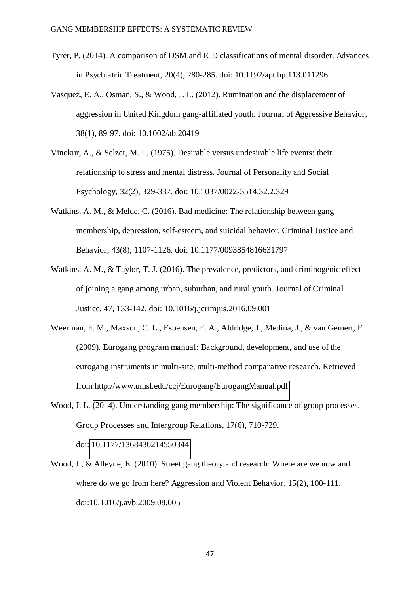- Tyrer, P. (2014). A comparison of DSM and ICD classifications of mental disorder. Advances in Psychiatric Treatment, 20(4), 280-285. doi: 10.1192/apt.bp.113.011296
- Vasquez, E. A., Osman, S., & Wood, J. L. (2012). Rumination and the displacement of aggression in United Kingdom gang-affiliated youth. Journal of Aggressive Behavior, 38(1), 89-97. doi: 10.1002/ab.20419
- Vinokur, A., & Selzer, M. L. (1975). Desirable versus undesirable life events: their relationship to stress and mental distress. Journal of Personality and Social Psychology, 32(2), 329-337. doi: 10.1037/0022-3514.32.2.329
- Watkins, A. M., & Melde, C. (2016). Bad medicine: The relationship between gang membership, depression, self-esteem, and suicidal behavior. Criminal Justice and Behavior, 43(8), 1107-1126. doi: 10.1177/0093854816631797
- Watkins, A. M., & Taylor, T. J. (2016). The prevalence, predictors, and criminogenic effect of joining a gang among urban, suburban, and rural youth. Journal of Criminal Justice, 47, 133-142. doi: 10.1016/j.jcrimjus.2016.09.001
- Weerman, F. M., Maxson, C. L., Esbensen, F. A., Aldridge, J., Medina, J., & van Gemert, F. (2009). Eurogang program manual: Background, development, and use of the eurogang instruments in multi-site, multi-method comparative research. Retrieved from<http://www.umsl.edu/ccj/Eurogang/EurogangManual.pdf>
- Wood, J. L. (2014). Understanding gang membership: The significance of group processes. Group Processes and Intergroup Relations, 17(6), 710-729. doi: [10.1177/1368430214550344](https://doi.org/10.1177/1368430214550344)
- Wood, J., & Alleyne, E. (2010). Street gang theory and research: Where are we now and where do we go from here? Aggression and Violent Behavior, 15(2), 100-111. doi:10.1016/j.avb.2009.08.005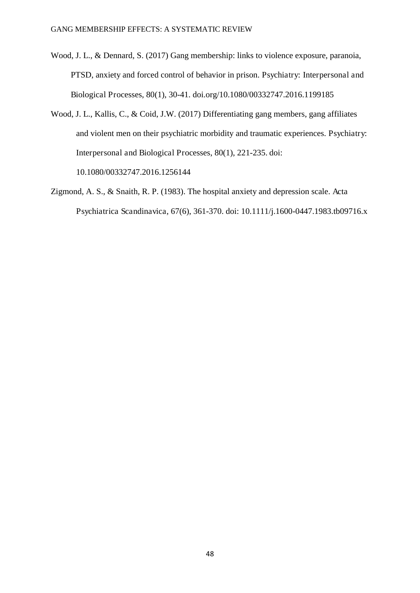- Wood, J. L., & Dennard, S. (2017) Gang membership: links to violence exposure, paranoia, PTSD, anxiety and forced control of behavior in prison. Psychiatry: Interpersonal and Biological Processes, 80(1), 30-41. doi.org/10.1080/00332747.2016.1199185
- Wood, J. L., Kallis, C., & Coid, J.W. (2017) Differentiating gang members, gang affiliates and violent men on their psychiatric morbidity and traumatic experiences. Psychiatry: Interpersonal and Biological Processes, 80(1), 221-235. doi: 10.1080/00332747.2016.1256144

Zigmond, A. S., & Snaith, R. P. (1983). The hospital anxiety and depression scale. Acta

Psychiatrica Scandinavica, 67(6), 361-370. doi: 10.1111/j.1600-0447.1983.tb09716.x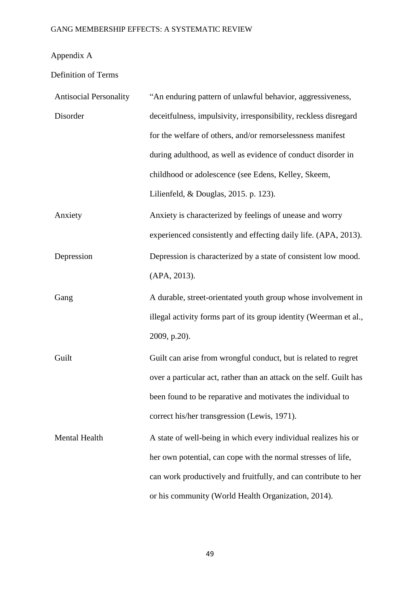# Appendix A

Definition of Terms

| <b>Antisocial Personality</b> | "An enduring pattern of unlawful behavior, aggressiveness,          |  |  |  |  |
|-------------------------------|---------------------------------------------------------------------|--|--|--|--|
| Disorder                      | deceitfulness, impulsivity, irresponsibility, reckless disregard    |  |  |  |  |
|                               | for the welfare of others, and/or remorselessness manifest          |  |  |  |  |
|                               | during adulthood, as well as evidence of conduct disorder in        |  |  |  |  |
|                               | childhood or adolescence (see Edens, Kelley, Skeem,                 |  |  |  |  |
|                               | Lilienfeld, & Douglas, 2015. p. 123).                               |  |  |  |  |
| Anxiety                       | Anxiety is characterized by feelings of unease and worry            |  |  |  |  |
|                               | experienced consistently and effecting daily life. (APA, 2013).     |  |  |  |  |
| Depression                    | Depression is characterized by a state of consistent low mood.      |  |  |  |  |
|                               | (APA, 2013).                                                        |  |  |  |  |
| Gang                          | A durable, street-orientated youth group whose involvement in       |  |  |  |  |
|                               | illegal activity forms part of its group identity (Weerman et al.,  |  |  |  |  |
|                               | 2009, p.20).                                                        |  |  |  |  |
| Guilt                         | Guilt can arise from wrongful conduct, but is related to regret     |  |  |  |  |
|                               | over a particular act, rather than an attack on the self. Guilt has |  |  |  |  |
|                               | been found to be reparative and motivates the individual to         |  |  |  |  |
|                               | correct his/her transgression (Lewis, 1971).                        |  |  |  |  |
| Mental Health                 | A state of well-being in which every individual realizes his or     |  |  |  |  |
|                               | her own potential, can cope with the normal stresses of life,       |  |  |  |  |
|                               | can work productively and fruitfully, and can contribute to her     |  |  |  |  |
|                               | or his community (World Health Organization, 2014).                 |  |  |  |  |

49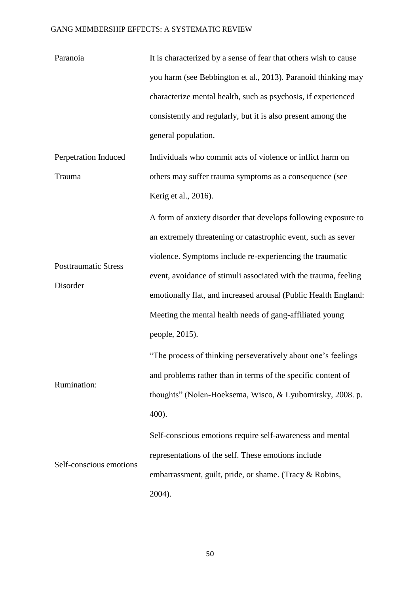| Paranoia                    | It is characterized by a sense of fear that others wish to cause |  |  |  |  |  |
|-----------------------------|------------------------------------------------------------------|--|--|--|--|--|
|                             | you harm (see Bebbington et al., 2013). Paranoid thinking may    |  |  |  |  |  |
|                             | characterize mental health, such as psychosis, if experienced    |  |  |  |  |  |
|                             | consistently and regularly, but it is also present among the     |  |  |  |  |  |
|                             | general population.                                              |  |  |  |  |  |
| Perpetration Induced        | Individuals who commit acts of violence or inflict harm on       |  |  |  |  |  |
| Trauma                      | others may suffer trauma symptoms as a consequence (see          |  |  |  |  |  |
|                             | Kerig et al., 2016).                                             |  |  |  |  |  |
|                             | A form of anxiety disorder that develops following exposure to   |  |  |  |  |  |
|                             | an extremely threatening or catastrophic event, such as sever    |  |  |  |  |  |
| <b>Posttraumatic Stress</b> | violence. Symptoms include re-experiencing the traumatic         |  |  |  |  |  |
| Disorder                    | event, avoidance of stimuli associated with the trauma, feeling  |  |  |  |  |  |
|                             | emotionally flat, and increased arousal (Public Health England:  |  |  |  |  |  |
|                             | Meeting the mental health needs of gang-affiliated young         |  |  |  |  |  |
|                             | people, 2015).                                                   |  |  |  |  |  |
|                             | "The process of thinking perseveratively about one's feelings    |  |  |  |  |  |
|                             | and problems rather than in terms of the specific content of     |  |  |  |  |  |
| Rumination:                 | thoughts" (Nolen-Hoeksema, Wisco, & Lyubomirsky, 2008. p.        |  |  |  |  |  |
|                             | 400).                                                            |  |  |  |  |  |
|                             | Self-conscious emotions require self-awareness and mental        |  |  |  |  |  |
|                             | representations of the self. These emotions include              |  |  |  |  |  |
| Self-conscious emotions     | embarrassment, guilt, pride, or shame. (Tracy & Robins,          |  |  |  |  |  |
|                             | 2004).                                                           |  |  |  |  |  |

50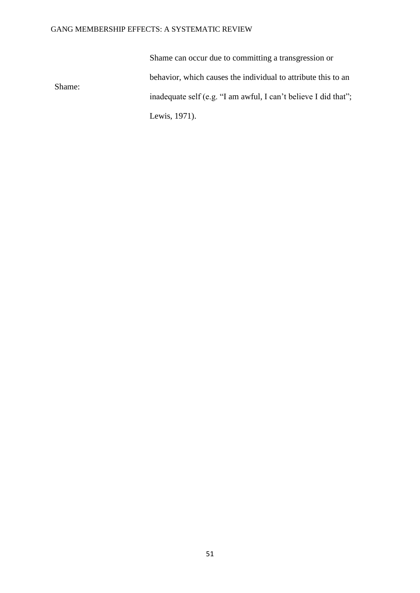Shame:

Shame can occur due to committing a transgression or behavior, which causes the individual to attribute this to an inadequate self (e.g. "I am awful, I can't believe I did that"; Lewis, 1971).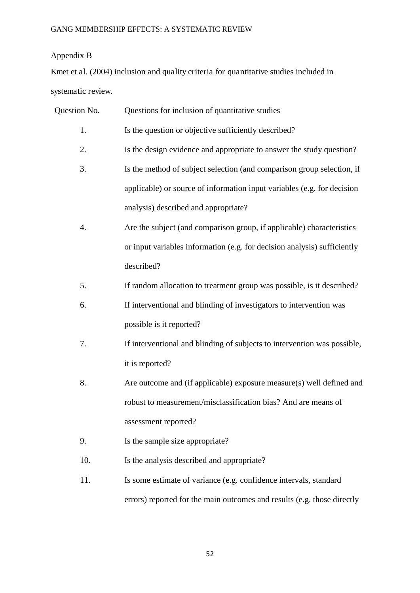## Appendix B

Kmet et al. (2004) inclusion and quality criteria for quantitative studies included in systematic review.

- 1. Is the question or objective sufficiently described?
- 2. Is the design evidence and appropriate to answer the study question?
- 3. Is the method of subject selection (and comparison group selection, if applicable) or source of information input variables (e.g. for decision analysis) described and appropriate?
- 4. Are the subject (and comparison group, if applicable) characteristics or input variables information (e.g. for decision analysis) sufficiently described?
- 5. If random allocation to treatment group was possible, is it described?
- 6. If interventional and blinding of investigators to intervention was possible is it reported?
- 7. If interventional and blinding of subjects to intervention was possible, it is reported?
- 8. Are outcome and (if applicable) exposure measure(s) well defined and robust to measurement/misclassification bias? And are means of assessment reported?
- 9. Is the sample size appropriate?
- 10. Is the analysis described and appropriate?
- 11. Is some estimate of variance (e.g. confidence intervals, standard errors) reported for the main outcomes and results (e.g. those directly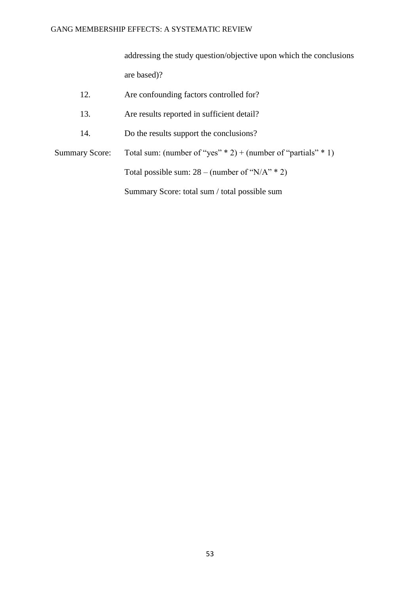addressing the study question/objective upon which the conclusions are based)?

| 12.            | Are confounding factors controlled for?                             |
|----------------|---------------------------------------------------------------------|
| 13.            | Are results reported in sufficient detail?                          |
| 14.            | Do the results support the conclusions?                             |
| Summary Score: | Total sum: (number of "yes" $* 2$ ) + (number of "partials" $* 1$ ) |
|                | Total possible sum: $28 - (number of "N/A" * 2)$                    |
|                | Summary Score: total sum / total possible sum                       |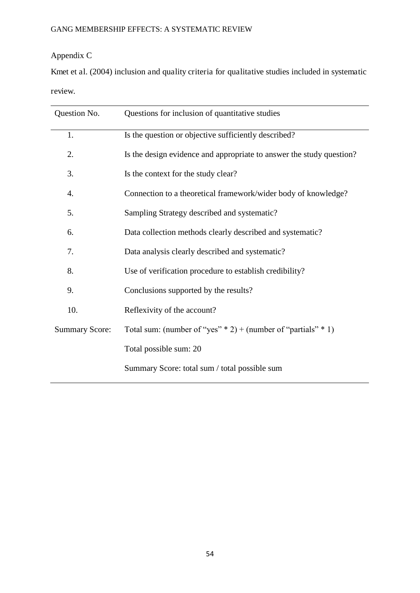## Appendix C

Kmet et al. (2004) inclusion and quality criteria for qualitative studies included in systematic review.

| Question No.          | Questions for inclusion of quantitative studies                      |  |  |  |  |  |
|-----------------------|----------------------------------------------------------------------|--|--|--|--|--|
| 1.                    | Is the question or objective sufficiently described?                 |  |  |  |  |  |
| 2.                    | Is the design evidence and appropriate to answer the study question? |  |  |  |  |  |
| 3.                    | Is the context for the study clear?                                  |  |  |  |  |  |
| 4.                    | Connection to a theoretical framework/wider body of knowledge?       |  |  |  |  |  |
| 5.                    | Sampling Strategy described and systematic?                          |  |  |  |  |  |
| 6.                    | Data collection methods clearly described and systematic?            |  |  |  |  |  |
| 7.                    | Data analysis clearly described and systematic?                      |  |  |  |  |  |
| 8.                    | Use of verification procedure to establish credibility?              |  |  |  |  |  |
| 9.                    | Conclusions supported by the results?                                |  |  |  |  |  |
| 10.                   | Reflexivity of the account?                                          |  |  |  |  |  |
| <b>Summary Score:</b> | Total sum: (number of "yes" $*$ 2) + (number of "partials" $*$ 1)    |  |  |  |  |  |
|                       | Total possible sum: 20                                               |  |  |  |  |  |
|                       | Summary Score: total sum / total possible sum                        |  |  |  |  |  |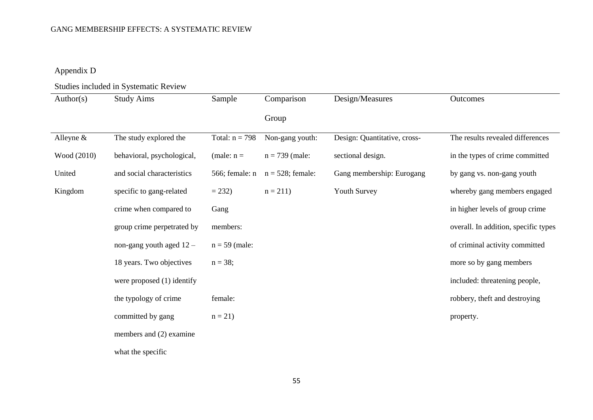## Appendix D

## Studies included in Systematic Review

| Author(s)    | <b>Study Aims</b>            | Sample           | Comparison          | Design/Measures              | Outcomes                             |
|--------------|------------------------------|------------------|---------------------|------------------------------|--------------------------------------|
|              |                              |                  | Group               |                              |                                      |
| Alleyne $\&$ | The study explored the       | Total: $n = 798$ | Non-gang youth:     | Design: Quantitative, cross- | The results revealed differences     |
| Wood (2010)  | behavioral, psychological,   | (male: $n =$     | $n = 739$ (male:    | sectional design.            | in the types of crime committed      |
| United       | and social characteristics   | 566; female: n   | $n = 528$ ; female: | Gang membership: Eurogang    | by gang vs. non-gang youth           |
| Kingdom      | specific to gang-related     | $= 232$          | $n = 211$           | Youth Survey                 | whereby gang members engaged         |
|              | crime when compared to       | Gang             |                     |                              | in higher levels of group crime      |
|              | group crime perpetrated by   | members:         |                     |                              | overall. In addition, specific types |
|              | non-gang youth aged $12 -$   | $n = 59$ (male:  |                     |                              | of criminal activity committed       |
|              | 18 years. Two objectives     | $n = 38;$        |                     |                              | more so by gang members              |
|              | were proposed $(1)$ identify |                  |                     |                              | included: threatening people,        |
|              | the typology of crime        | female:          |                     |                              | robbery, theft and destroying        |
|              | committed by gang            | $n = 21$         |                     |                              | property.                            |
|              | members and (2) examine      |                  |                     |                              |                                      |
|              |                              |                  |                     |                              |                                      |

what the specific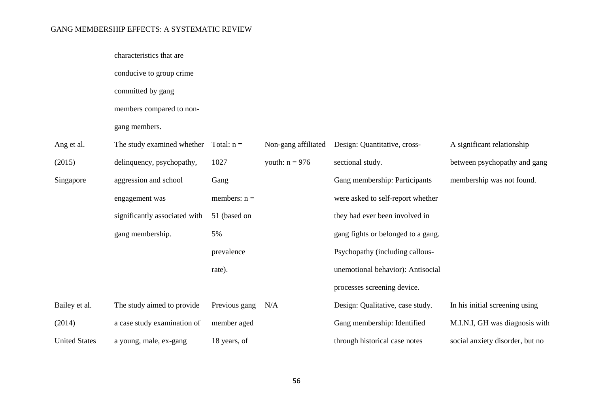|                      | characteristics that are      |                |                     |                                    |                                 |
|----------------------|-------------------------------|----------------|---------------------|------------------------------------|---------------------------------|
|                      | conducive to group crime      |                |                     |                                    |                                 |
|                      | committed by gang             |                |                     |                                    |                                 |
|                      | members compared to non-      |                |                     |                                    |                                 |
|                      | gang members.                 |                |                     |                                    |                                 |
| Ang et al.           | The study examined whether    | Total: $n =$   | Non-gang affiliated | Design: Quantitative, cross-       | A significant relationship      |
| (2015)               | delinquency, psychopathy,     | 1027           | youth: $n = 976$    | sectional study.                   | between psychopathy and gang    |
| Singapore            | aggression and school         | Gang           |                     | Gang membership: Participants      | membership was not found.       |
|                      | engagement was                | members: $n =$ |                     | were asked to self-report whether  |                                 |
|                      | significantly associated with | 51 (based on   |                     | they had ever been involved in     |                                 |
|                      | gang membership.              | 5%             |                     | gang fights or belonged to a gang. |                                 |
|                      |                               | prevalence     |                     | Psychopathy (including callous-    |                                 |
|                      |                               | rate).         |                     | unemotional behavior): Antisocial  |                                 |
|                      |                               |                |                     | processes screening device.        |                                 |
| Bailey et al.        | The study aimed to provide    | Previous gang  | N/A                 | Design: Qualitative, case study.   | In his initial screening using  |
| (2014)               | a case study examination of   | member aged    |                     | Gang membership: Identified        | M.I.N.I, GH was diagnosis with  |
| <b>United States</b> | a young, male, ex-gang        | 18 years, of   |                     | through historical case notes      | social anxiety disorder, but no |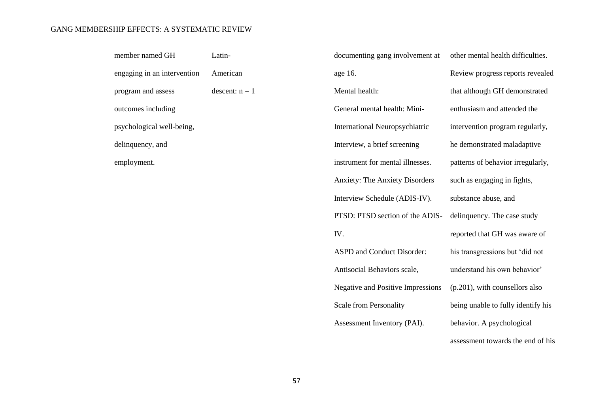| member named GH             | Latin-           | documenting gang involvement at          | other mental health difficulties.  |
|-----------------------------|------------------|------------------------------------------|------------------------------------|
| engaging in an intervention | American         | age 16.                                  | Review progress reports revealed   |
| program and assess          | descent: $n = 1$ | Mental health:                           | that although GH demonstrated      |
| outcomes including          |                  | General mental health: Mini-             | enthusiasm and attended the        |
| psychological well-being,   |                  | <b>International Neuropsychiatric</b>    | intervention program regularly,    |
| delinquency, and            |                  | Interview, a brief screening             | he demonstrated maladaptive        |
| employment.                 |                  | instrument for mental illnesses.         | patterns of behavior irregularly,  |
|                             |                  | <b>Anxiety: The Anxiety Disorders</b>    | such as engaging in fights,        |
|                             |                  | Interview Schedule (ADIS-IV).            | substance abuse, and               |
|                             |                  | PTSD: PTSD section of the ADIS-          | delinquency. The case study        |
|                             |                  | IV.                                      | reported that GH was aware of      |
|                             |                  | ASPD and Conduct Disorder:               | his transgressions but 'did not    |
|                             |                  | Antisocial Behaviors scale,              | understand his own behavior'       |
|                             |                  | <b>Negative and Positive Impressions</b> | $(p.201)$ , with counsellors also  |
|                             |                  | Scale from Personality                   | being unable to fully identify his |
|                             |                  | Assessment Inventory (PAI).              | behavior. A psychological          |
|                             |                  |                                          | assessment towards the end of his  |
|                             |                  |                                          |                                    |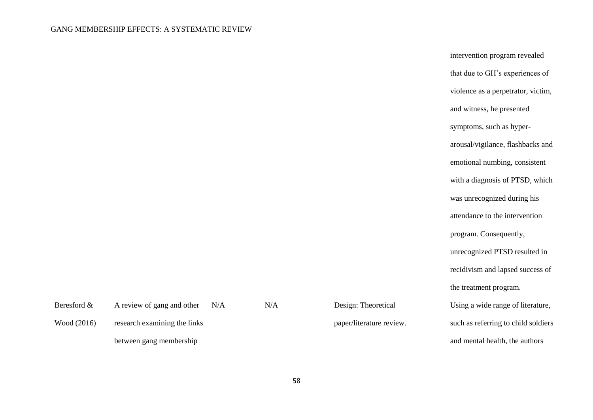| intervention program revealed       |
|-------------------------------------|
| that due to GH's experiences of     |
| violence as a perpetrator, victim,  |
| and witness, he presented           |
| symptoms, such as hyper-            |
| arousal/vigilance, flashbacks and   |
| emotional numbing, consistent       |
| with a diagnosis of PTSD, which     |
| was unrecognized during his         |
| attendance to the intervention      |
| program. Consequently,              |
| unrecognized PTSD resulted in       |
| recidivism and lapsed success of    |
| the treatment program.              |
| Using a wide range of literature,   |
| such as referring to child soldiers |
| and mental health, the authors      |

| Beresford & | A review of gang and other   | N/A | N/A |
|-------------|------------------------------|-----|-----|
| Wood (2016) | research examining the links |     |     |
|             | between gang membership      |     |     |

58

Design: Theoretical

paper/literature review.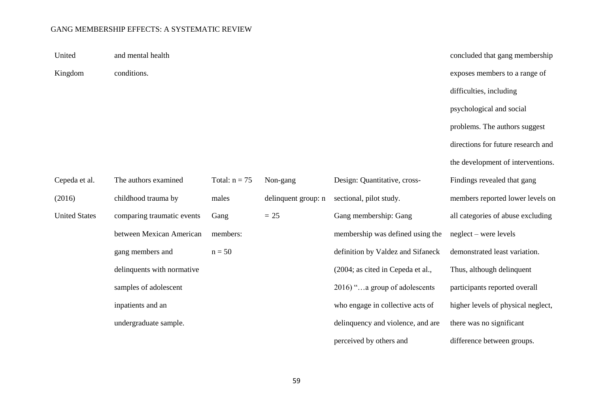United Kingdom and mental health conditions. concluded that gang membership exposes members to a range of difficulties, including psychological and social problems. The authors suggest directions for future research and the development of interventions. Cepeda et al. (2016) United States The authors examined childhood trauma by comparing traumatic events between Mexican American gang members and delinquents with normative samples of adolescent inpatients and an undergraduate sample. Total:  $n = 75$ males Gang members:  $n = 50$ Non-gang delinquent group: n  $= 25$ Design: Quantitative, crosssectional, pilot study. Gang membership: Gang membership was defined using the definition by Valdez and Sifaneck (2004; as cited in Cepeda et al., 2016) "…a group of adolescents who engage in collective acts of delinquency and violence, and are Findings revealed that gang members reported lower levels on all categories of abuse excluding neglect – were levels demonstrated least variation. Thus, although delinquent participants reported overall higher levels of physical neglect, there was no significant

59

perceived by others and

difference between groups.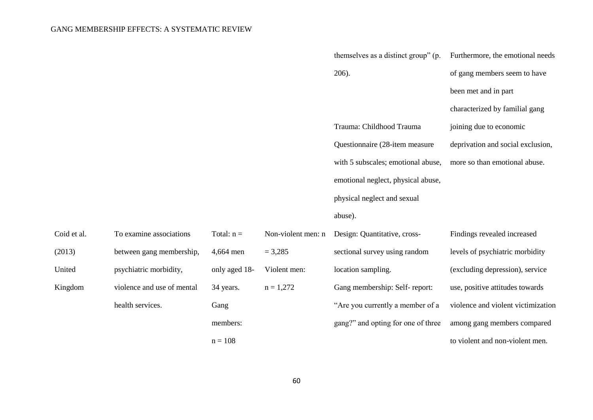|             |                            |               |                    | themselves as a distinct group" (p. | Furthermore, the emotional needs   |
|-------------|----------------------------|---------------|--------------------|-------------------------------------|------------------------------------|
|             |                            |               |                    | 206).                               | of gang members seem to have       |
|             |                            |               |                    |                                     | been met and in part               |
|             |                            |               |                    |                                     | characterized by familial gang     |
|             |                            |               |                    | Trauma: Childhood Trauma            | joining due to economic            |
|             |                            |               |                    | Questionnaire (28-item measure      | deprivation and social exclusion,  |
|             |                            |               |                    | with 5 subscales; emotional abuse,  | more so than emotional abuse.      |
|             |                            |               |                    | emotional neglect, physical abuse,  |                                    |
|             |                            |               |                    | physical neglect and sexual         |                                    |
|             |                            |               |                    | abuse).                             |                                    |
| Coid et al. | To examine associations    | Total: $n =$  | Non-violent men: n | Design: Quantitative, cross-        | Findings revealed increased        |
| (2013)      | between gang membership,   | 4,664 men     | $= 3,285$          | sectional survey using random       | levels of psychiatric morbidity    |
| United      | psychiatric morbidity,     | only aged 18- | Violent men:       | location sampling.                  | (excluding depression), service    |
| Kingdom     | violence and use of mental | 34 years.     | $n = 1,272$        | Gang membership: Self-report:       | use, positive attitudes towards    |
|             | health services.           | Gang          |                    | "Are you currently a member of a    | violence and violent victimization |
|             |                            | members:      |                    | gang?" and opting for one of three  | among gang members compared        |
|             |                            | $n = 108$     |                    |                                     | to violent and non-violent men.    |
|             |                            |               |                    |                                     |                                    |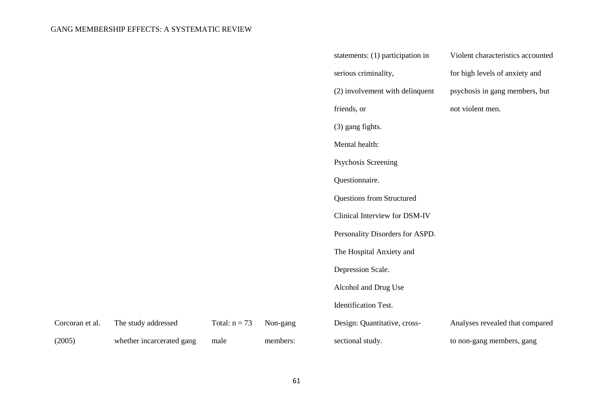|                 |                           |                 |          | statements: (1) participation in | Violent characteristics accounted |
|-----------------|---------------------------|-----------------|----------|----------------------------------|-----------------------------------|
|                 |                           |                 |          | serious criminality,             | for high levels of anxiety and    |
|                 |                           |                 |          | (2) involvement with delinquent  | psychosis in gang members, but    |
|                 |                           |                 |          | friends, or                      | not violent men.                  |
|                 |                           |                 |          | (3) gang fights.                 |                                   |
|                 |                           |                 |          | Mental health:                   |                                   |
|                 |                           |                 |          | Psychosis Screening              |                                   |
|                 |                           |                 |          | Questionnaire.                   |                                   |
|                 |                           |                 |          | Questions from Structured        |                                   |
|                 |                           |                 |          | Clinical Interview for DSM-IV    |                                   |
|                 |                           |                 |          | Personality Disorders for ASPD.  |                                   |
|                 |                           |                 |          | The Hospital Anxiety and         |                                   |
|                 |                           |                 |          | Depression Scale.                |                                   |
|                 |                           |                 |          | Alcohol and Drug Use             |                                   |
|                 |                           |                 |          | <b>Identification Test.</b>      |                                   |
| Corcoran et al. | The study addressed       | Total: $n = 73$ | Non-gang | Design: Quantitative, cross-     | Analyses revealed that compared   |
| (2005)          | whether incarcerated gang | male            | members: | sectional study.                 | to non-gang members, gang         |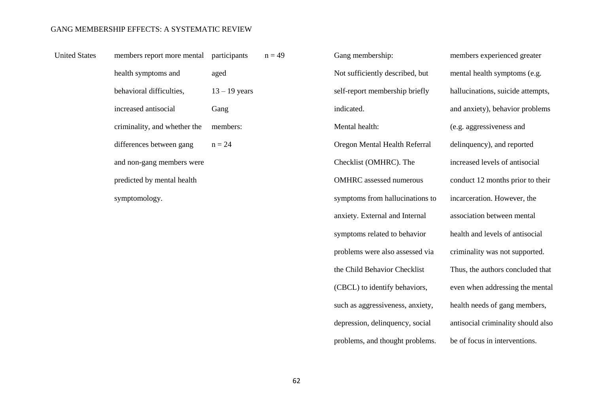| <b>United States</b> | members report more mental participants |                 | $n = 4$ |
|----------------------|-----------------------------------------|-----------------|---------|
|                      | health symptoms and                     | aged            |         |
|                      | behavioral difficulties,                | $13 - 19$ years |         |
|                      | increased antisocial                    | Gang            |         |
|                      | criminality, and whether the            | members:        |         |
|                      | differences between gang                | $n = 24$        |         |
|                      | and non-gang members were               |                 |         |
|                      | predicted by mental health              |                 |         |
|                      | symptomology.                           |                 |         |

19 Gang membership: Not sufficiently described, but self-report membership briefly indicated. Mental health: Oregon Mental Health Referral Checklist (OMHRC). The OMHRC assessed numerous symptoms from hallucinations to anxiety. External and Internal symptoms related to behavior problems were also assessed via the Child Behavior Checklist (CBCL) to identify behaviors, such as aggressiveness, anxiety, depression, delinquency, social problems, and thought problems.

members experienced greater mental health symptoms (e.g. hallucinations, suicide attempts, and anxiety), behavior problems (e.g. aggressiveness and delinquency), and reported increased levels of antisocial conduct 12 months prior to their incarceration. However, the association between mental health and levels of antisocial criminality was not supported. Thus, the authors concluded that even when addressing the mental health needs of gang members, antisocial criminality should also be of focus in interventions.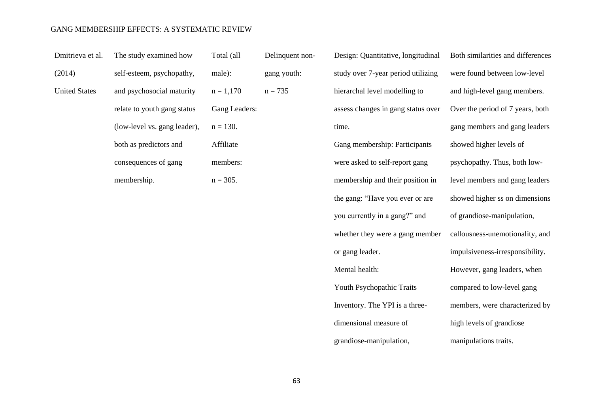| Dmitrieva et al.     | The study examined how       | Total (all    | Delinquent non- | Design: Quantitative, longitudinal | Both similarities and differences |
|----------------------|------------------------------|---------------|-----------------|------------------------------------|-----------------------------------|
| (2014)               | self-esteem, psychopathy,    | male):        | gang youth:     | study over 7-year period utilizing | were found between low-level      |
| <b>United States</b> | and psychosocial maturity    | $n = 1,170$   | $n = 735$       | hierarchal level modelling to      | and high-level gang members.      |
|                      | relate to youth gang status  | Gang Leaders: |                 | assess changes in gang status over | Over the period of 7 years, both  |
|                      | (low-level vs. gang leader), | $n = 130.$    |                 | time.                              | gang members and gang leaders     |
|                      | both as predictors and       | Affiliate     |                 | Gang membership: Participants      | showed higher levels of           |
|                      | consequences of gang         | members:      |                 | were asked to self-report gang     | psychopathy. Thus, both low-      |
|                      | membership.                  | $n = 305$ .   |                 | membership and their position in   | level members and gang leaders    |
|                      |                              |               |                 | the gang: "Have you ever or are    | showed higher ss on dimensions    |
|                      |                              |               |                 | you currently in a gang?" and      | of grandiose-manipulation,        |
|                      |                              |               |                 | whether they were a gang member    | callousness-unemotionality, and   |
|                      |                              |               |                 | or gang leader.                    | impulsiveness-irresponsibility.   |
|                      |                              |               |                 | Mental health:                     | However, gang leaders, when       |
|                      |                              |               |                 | Youth Psychopathic Traits          | compared to low-level gang        |

63

Inventory. The YPI is a three-

members, were characterized by

high levels of grandiose

manipulations traits.

dimensional measure of

grandiose-manipulation,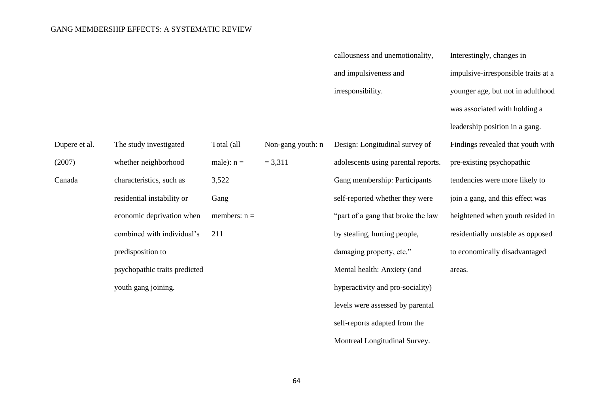Dupere et al.

(2007)

Canada

|                               |                |                   | callousness and unemotionality,     | Interestingly, changes in           |
|-------------------------------|----------------|-------------------|-------------------------------------|-------------------------------------|
|                               |                |                   | and impulsiveness and               | impulsive-irresponsible traits at a |
|                               |                |                   | irresponsibility.                   | younger age, but not in adulthood   |
|                               |                |                   |                                     | was associated with holding a       |
|                               |                |                   |                                     | leadership position in a gang.      |
| The study investigated        | Total (all     | Non-gang youth: n | Design: Longitudinal survey of      | Findings revealed that youth with   |
| whether neighborhood          | male): $n =$   | $= 3,311$         | adolescents using parental reports. | pre-existing psychopathic           |
| characteristics, such as      | 3,522          |                   | Gang membership: Participants       | tendencies were more likely to      |
| residential instability or    | Gang           |                   | self-reported whether they were     | join a gang, and this effect was    |
| economic deprivation when     | members: $n =$ |                   | "part of a gang that broke the law  | heightened when youth resided in    |
| combined with individual's    | 211            |                   | by stealing, hurting people,        | residentially unstable as opposed   |
| predisposition to             |                |                   | damaging property, etc."            | to economically disadvantaged       |
| psychopathic traits predicted |                |                   | Mental health: Anxiety (and         | areas.                              |
| youth gang joining.           |                |                   | hyperactivity and pro-sociality)    |                                     |
|                               |                |                   | levels were assessed by parental    |                                     |
|                               |                |                   | self-reports adapted from the       |                                     |

Montreal Longitudinal Survey.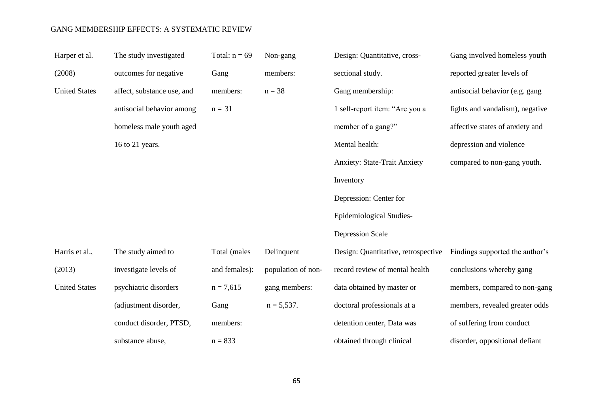| Harper et al.        | The study investigated     | Total: $n = 69$ | Non-gang           | Design: Quantitative, cross-        | Gang involved homeless youth    |
|----------------------|----------------------------|-----------------|--------------------|-------------------------------------|---------------------------------|
| (2008)               | outcomes for negative      | Gang            | members:           | sectional study.                    | reported greater levels of      |
| <b>United States</b> | affect, substance use, and | members:        | $n = 38$           | Gang membership:                    | antisocial behavior (e.g. gang  |
|                      | antisocial behavior among  | $n = 31$        |                    | 1 self-report item: "Are you a      | fights and vandalism), negative |
|                      | homeless male youth aged   |                 |                    | member of a gang?"                  | affective states of anxiety and |
|                      | 16 to 21 years.            |                 |                    | Mental health:                      | depression and violence         |
|                      |                            |                 |                    | <b>Anxiety: State-Trait Anxiety</b> | compared to non-gang youth.     |
|                      |                            |                 |                    | Inventory                           |                                 |
|                      |                            |                 |                    | Depression: Center for              |                                 |
|                      |                            |                 |                    | Epidemiological Studies-            |                                 |
|                      |                            |                 |                    | <b>Depression Scale</b>             |                                 |
| Harris et al.,       | The study aimed to         | Total (males    | Delinquent         | Design: Quantitative, retrospective | Findings supported the author's |
| (2013)               | investigate levels of      | and females):   | population of non- | record review of mental health      | conclusions whereby gang        |
| <b>United States</b> | psychiatric disorders      | $n = 7,615$     | gang members:      | data obtained by master or          | members, compared to non-gang   |
|                      | (adjustment disorder,      | Gang            | $n = 5,537.$       | doctoral professionals at a         | members, revealed greater odds  |
|                      | conduct disorder, PTSD,    | members:        |                    | detention center, Data was          | of suffering from conduct       |
|                      | substance abuse,           | $n = 833$       |                    | obtained through clinical           | disorder, oppositional defiant  |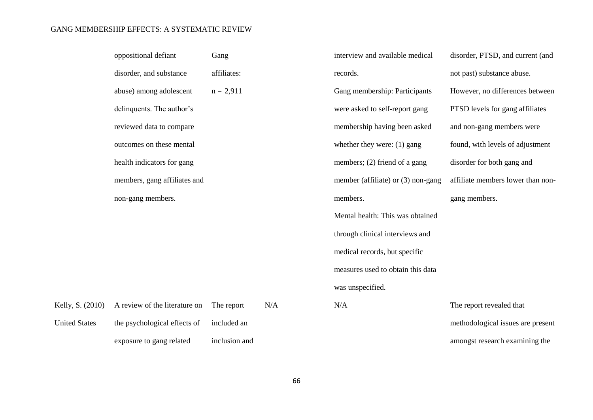|                      | oppositional defiant          | Gang          |     | interview and available medical      | disorder, PTSD, and current (and  |
|----------------------|-------------------------------|---------------|-----|--------------------------------------|-----------------------------------|
|                      | disorder, and substance       | affiliates:   |     | records.                             | not past) substance abuse.        |
|                      | abuse) among adolescent       | $n = 2,911$   |     | Gang membership: Participants        | However, no differences between   |
|                      | delinquents. The author's     |               |     | were asked to self-report gang       | PTSD levels for gang affiliates   |
|                      | reviewed data to compare      |               |     | membership having been asked         | and non-gang members were         |
|                      | outcomes on these mental      |               |     | whether they were: $(1)$ gang        | found, with levels of adjustment  |
|                      | health indicators for gang    |               |     | members; (2) friend of a gang        | disorder for both gang and        |
|                      | members, gang affiliates and  |               |     | member (affiliate) or $(3)$ non-gang | affiliate members lower than non- |
|                      | non-gang members.             |               |     | members.                             | gang members.                     |
|                      |                               |               |     | Mental health: This was obtained     |                                   |
|                      |                               |               |     | through clinical interviews and      |                                   |
|                      |                               |               |     | medical records, but specific        |                                   |
|                      |                               |               |     | measures used to obtain this data    |                                   |
|                      |                               |               |     | was unspecified.                     |                                   |
| Kelly, S. (2010)     | A review of the literature on | The report    | N/A | N/A                                  | The report revealed that          |
| <b>United States</b> | the psychological effects of  | included an   |     |                                      | methodological issues are present |
|                      | exposure to gang related      | inclusion and |     |                                      | amongst research examining the    |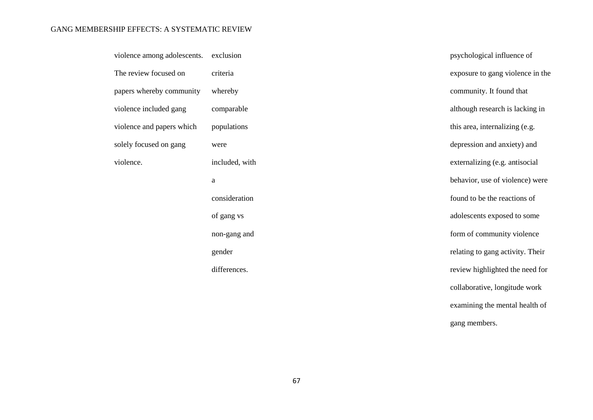| violence among adolescents. | exclusion      | psychological influence of       |
|-----------------------------|----------------|----------------------------------|
| The review focused on       | criteria       | exposure to gang violence in the |
| papers whereby community    | whereby        | community. It found that         |
| violence included gang      | comparable     | although research is lacking in  |
| violence and papers which   | populations    | this area, internalizing (e.g.   |
| solely focused on gang      | were           | depression and anxiety) and      |
| violence.                   | included, with | externalizing (e.g. antisocial   |
|                             | $\mathbf{a}$   | behavior, use of violence) were  |
|                             | consideration  | found to be the reactions of     |
|                             | of gang vs     | adolescents exposed to some      |
|                             | non-gang and   | form of community violence       |
|                             | gender         | relating to gang activity. Their |
|                             | differences.   | review highlighted the need for  |
|                             |                | collaborative, longitude work    |
|                             |                | examining the mental health of   |

gang members.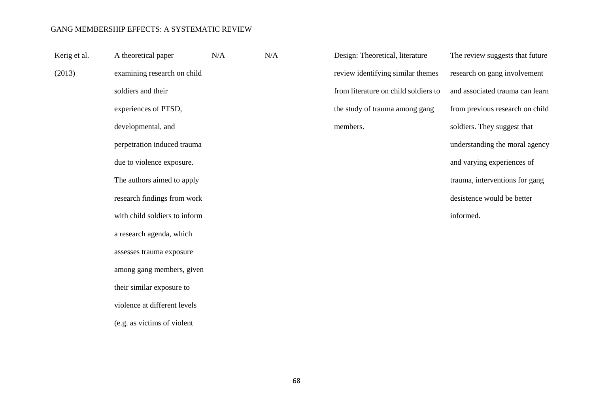| Kerig et al. | A theoretical paper           | N/A | N/A |
|--------------|-------------------------------|-----|-----|
| (2013)       | examining research on child   |     |     |
|              | soldiers and their            |     |     |
|              | experiences of PTSD,          |     |     |
|              | developmental, and            |     |     |
|              | perpetration induced trauma   |     |     |
|              | due to violence exposure.     |     |     |
|              | The authors aimed to apply    |     |     |
|              | research findings from work   |     |     |
|              | with child soldiers to inform |     |     |
|              | a research agenda, which      |     |     |
|              | assesses trauma exposure      |     |     |
|              | among gang members, given     |     |     |
|              | their similar exposure to     |     |     |
|              | violence at different levels  |     |     |
|              | (e.g. as victims of violent   |     |     |

Design: Theoretical, literature review identifying similar themes from literature on child soldiers to the study of trauma among gang members.

The review suggests that future research on gang involvement and associated trauma can learn from previous research on child soldiers. They suggest that understanding the moral agency and varying experiences of trauma, interventions for gang desistence would be better informed.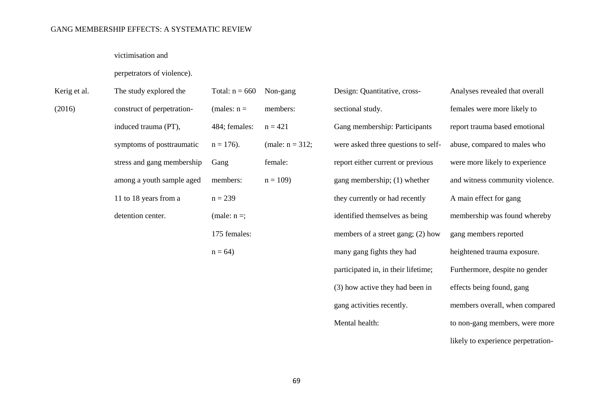#### victimisation and

#### perpetrators of violence).

| Kerig et al. | The study explored the     | Total: $n = 660$ | Non-gang           | Design: Quantitative, cross-        | Analyses revealed that overall  |
|--------------|----------------------------|------------------|--------------------|-------------------------------------|---------------------------------|
| (2016)       | construct of perpetration- | (males: $n =$    | members:           | sectional study.                    | females were more likely to     |
|              | induced trauma (PT),       | 484; females:    | $n = 421$          | Gang membership: Participants       | report trauma based emotional   |
|              | symptoms of posttraumatic  | $n = 176$ .      | (male: $n = 312$ ; | were asked three questions to self- | abuse, compared to males who    |
|              | stress and gang membership | Gang             | female:            | report either current or previous   | were more likely to experience  |
|              | among a youth sample aged  | members:         | $n = 109$          | gang membership; (1) whether        | and witness community violence. |
|              | 11 to 18 years from a      | $n = 239$        |                    | they currently or had recently      | A main effect for gang          |
|              | detention center.          | (male: $n =$ ;   |                    | identified themselves as being      | membership was found whereby    |
|              |                            | 175 females:     |                    | members of a street gang; (2) how   | gang members reported           |
|              |                            | $n = 64$         |                    | many gang fights they had           | heightened trauma exposure.     |
|              |                            |                  |                    | participated in, in their lifetime; | Furthermore, despite no gender  |
|              |                            |                  |                    | (3) how active they had been in     | effects being found, gang       |

gang activities recently.

members overall, when compared

to non-gang members, were more

likely to experience perpetration-

Mental health: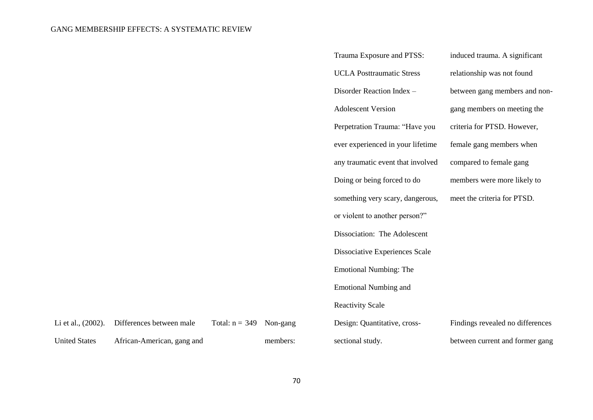|                      |                            |                  |          | Trauma Exposure and PTSS:         | induced trauma. A significant    |
|----------------------|----------------------------|------------------|----------|-----------------------------------|----------------------------------|
|                      |                            |                  |          | <b>UCLA Posttraumatic Stress</b>  | relationship was not found       |
|                      |                            |                  |          | Disorder Reaction Index -         | between gang members and non-    |
|                      |                            |                  |          | <b>Adolescent Version</b>         | gang members on meeting the      |
|                      |                            |                  |          | Perpetration Trauma: "Have you    | criteria for PTSD. However,      |
|                      |                            |                  |          | ever experienced in your lifetime | female gang members when         |
|                      |                            |                  |          | any traumatic event that involved | compared to female gang          |
|                      |                            |                  |          | Doing or being forced to do       | members were more likely to      |
|                      |                            |                  |          | something very scary, dangerous,  | meet the criteria for PTSD.      |
|                      |                            |                  |          | or violent to another person?"    |                                  |
|                      |                            |                  |          | Dissociation: The Adolescent      |                                  |
|                      |                            |                  |          | Dissociative Experiences Scale    |                                  |
|                      |                            |                  |          | <b>Emotional Numbing: The</b>     |                                  |
|                      |                            |                  |          | <b>Emotional Numbing and</b>      |                                  |
|                      |                            |                  |          | <b>Reactivity Scale</b>           |                                  |
| Li et al., (2002).   | Differences between male   | Total: $n = 349$ | Non-gang | Design: Quantitative, cross-      | Findings revealed no differences |
| <b>United States</b> | African-American, gang and |                  | members: | sectional study.                  | between current and former gang  |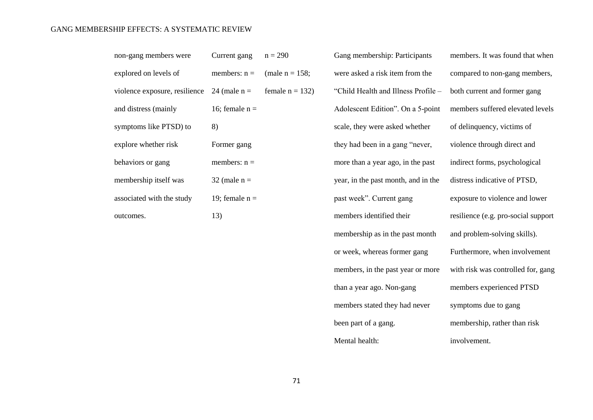| non-gang members were                        | Current gang $n = 290$ |                   |
|----------------------------------------------|------------------------|-------------------|
| explored on levels of                        | members: $n =$         | (male $n = 158$ ; |
| violence exposure, resilience $24$ (male n = |                        | female $n = 132$  |
| and distress (mainly                         | 16; female $n =$       |                   |
| symptoms like PTSD) to                       | 8)                     |                   |
| explore whether risk                         | Former gang            |                   |
| behaviors or gang                            | members: $n =$         |                   |
| membership itself was                        | $32$ (male n =         |                   |
| associated with the study                    | 19; female $n =$       |                   |
| outcomes.                                    | 13)                    |                   |

Gang membership: Participants were asked a risk item from the "Child Health and Illness Profile – Adolescent Edition". On a 5-point scale, they were asked whether they had been in a gang "never, more than a year ago, in the past year, in the past month, and in the past week". Current gang members identified their membership as in the past month or week, whereas former gang members, in the past year or more than a year ago. Non-gang members stated they had never been part of a gang. Mental health:

members. It was found that when compared to non-gang members, both current and former gang members suffered elevated levels of delinquency, victims of violence through direct and indirect forms, psychological distress indicative of PTSD, exposure to violence and lower resilience (e.g. pro-social support and problem-solving skills). Furthermore, when involvement with risk was controlled for, gang members experienced PTSD symptoms due to gang membership, rather than risk involvement.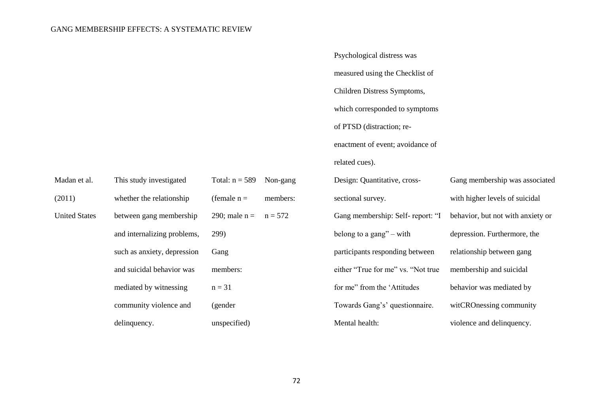Psychological distress was measured using the Checklist of Children Distress Symptoms, which corresponded to symptoms of PTSD (distraction; reenactment of event; avoidance of related cues).

| Madan et al.         | This study investigated     | Total: $n = 589$ | Non-gang  | Design: Quantitative, cross-       | Gang membership was associated    |
|----------------------|-----------------------------|------------------|-----------|------------------------------------|-----------------------------------|
| (2011)               | whether the relationship    | (female $n =$    | members:  | sectional survey.                  | with higher levels of suicidal    |
| <b>United States</b> | between gang membership     | 290; male $n =$  | $n = 572$ | Gang membership: Self-report: "I   | behavior, but not with anxiety or |
|                      | and internalizing problems, | 299)             |           | belong to a gang" $-$ with         | depression. Furthermore, the      |
|                      | such as anxiety, depression | Gang             |           | participants responding between    | relationship between gang         |
|                      | and suicidal behavior was   | members:         |           | either "True for me" vs. "Not true | membership and suicidal           |
|                      | mediated by witnessing      | $n = 31$         |           | for me" from the 'Attitudes        | behavior was mediated by          |
|                      | community violence and      | (gender          |           | Towards Gang's' questionnaire.     | witCROnessing community           |
|                      | delinquency.                | unspecified)     |           | Mental health:                     | violence and delinquency.         |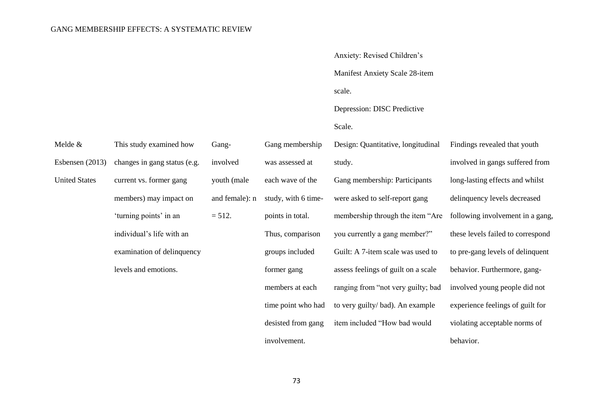|                      |                              |                |                     | Anxiety: Revised Children's         |                                 |
|----------------------|------------------------------|----------------|---------------------|-------------------------------------|---------------------------------|
|                      |                              |                |                     | Manifest Anxiety Scale 28-item      |                                 |
|                      |                              |                |                     | scale.                              |                                 |
|                      |                              |                |                     | Depression: DISC Predictive         |                                 |
|                      |                              |                |                     | Scale.                              |                                 |
| Melde $&$            | This study examined how      | Gang-          | Gang membership     | Design: Quantitative, longitudinal  | Findings revealed that youth    |
| Esbensen (2013)      | changes in gang status (e.g. | involved       | was assessed at     | study.                              | involved in gangs suffered fr   |
| <b>United States</b> | current vs. former gang      | youth (male    | each wave of the    | Gang membership: Participants       | long-lasting effects and whils  |
|                      | members) may impact on       | and female): n | study, with 6 time- | were asked to self-report gang      | delinquency levels decreased    |
|                      | 'turning points' in an       | $= 512.$       | points in total.    | membership through the item "Are    | following involvement in a g    |
|                      | individual's life with an    |                | Thus, comparison    | you currently a gang member?"       | these levels failed to correspo |
|                      | examination of delinquency   |                | groups included     | Guilt: A 7-item scale was used to   | to pre-gang levels of delinque  |
|                      | levels and emotions.         |                | former gang         | assess feelings of guilt on a scale | behavior. Furthermore, gang-    |
|                      |                              |                | members at each     | ranging from "not very guilty; bad  | involved young people did no    |
|                      |                              |                | time point who had  | to very guilty/bad). An example     | experience feelings of guilt fo |
|                      |                              |                | desisted from gang  | item included "How bad would        | violating acceptable norms of   |
|                      |                              |                | involvement.        |                                     | behavior.                       |

ved in gangs suffered from lasting effects and whilst quency levels decreased wing involvement in a gang, levels failed to correspond -gang levels of delinquent ior. Furthermore, gangved young people did not ience feelings of guilt for ing acceptable norms of ior.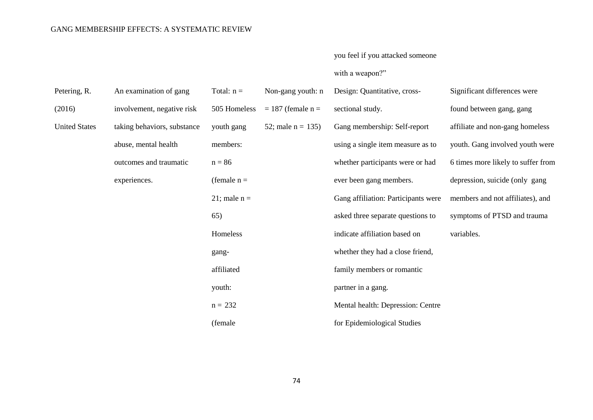# you feel if you attacked someone with a weapon?"

| Petering, R.         | An examination of gang      | Total: $n =$   | Non-gang youth: n     | Design: Quantitative, cross-        | Significant differences were       |
|----------------------|-----------------------------|----------------|-----------------------|-------------------------------------|------------------------------------|
| (2016)               | involvement, negative risk  | 505 Homeless   | $= 187$ (female $n =$ | sectional study.                    | found between gang, gang           |
| <b>United States</b> | taking behaviors, substance | youth gang     | 52; male $n = 135$ )  | Gang membership: Self-report        | affiliate and non-gang homeless    |
|                      | abuse, mental health        | members:       |                       | using a single item measure as to   | youth. Gang involved youth were    |
|                      | outcomes and traumatic      | $n = 86$       |                       | whether participants were or had    | 6 times more likely to suffer from |
|                      | experiences.                | (female $n =$  |                       | ever been gang members.             | depression, suicide (only gang     |
|                      |                             | 21; male $n =$ |                       | Gang affiliation: Participants were | members and not affiliates), and   |
|                      |                             | 65)            |                       | asked three separate questions to   | symptoms of PTSD and trauma        |
|                      |                             | Homeless       |                       | indicate affiliation based on       | variables.                         |
|                      |                             | gang-          |                       | whether they had a close friend,    |                                    |
|                      |                             | affiliated     |                       | family members or romantic          |                                    |
|                      |                             | youth:         |                       | partner in a gang.                  |                                    |
|                      |                             | $n = 232$      |                       | Mental health: Depression: Centre   |                                    |
|                      |                             | (female)       |                       | for Epidemiological Studies         |                                    |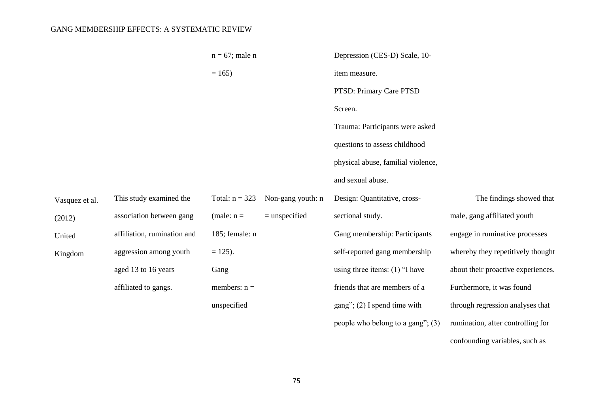|                |                             | $n = 67$ ; male n |                   | Depression (CES-D) Scale, 10-       |                                    |
|----------------|-----------------------------|-------------------|-------------------|-------------------------------------|------------------------------------|
|                |                             | $= 165$           |                   | item measure.                       |                                    |
|                |                             |                   |                   | PTSD: Primary Care PTSD             |                                    |
|                |                             |                   |                   | Screen.                             |                                    |
|                |                             |                   |                   | Trauma: Participants were asked     |                                    |
|                |                             |                   |                   | questions to assess childhood       |                                    |
|                |                             |                   |                   | physical abuse, familial violence,  |                                    |
|                |                             |                   |                   | and sexual abuse.                   |                                    |
| Vasquez et al. | This study examined the     | Total: $n = 323$  | Non-gang youth: n | Design: Quantitative, cross-        | The findings showed that           |
| (2012)         | association between gang    | (male: $n =$      | $=$ unspecified   | sectional study.                    | male, gang affiliated youth        |
| United         | affiliation, rumination and | 185; female: n    |                   | Gang membership: Participants       | engage in ruminative processes     |
| Kingdom        | aggression among youth      | $= 125$ ).        |                   | self-reported gang membership       | whereby they repetitively thought  |
|                | aged 13 to 16 years         | Gang              |                   | using three items: $(1)$ "I have    | about their proactive experiences. |
|                | affiliated to gangs.        | members: $n =$    |                   | friends that are members of a       | Furthermore, it was found          |
|                |                             | unspecified       |                   | gang"; $(2)$ I spend time with      | through regression analyses that   |
|                |                             |                   |                   | people who belong to a gang"; $(3)$ | rumination, after controlling for  |

confounding variables, such as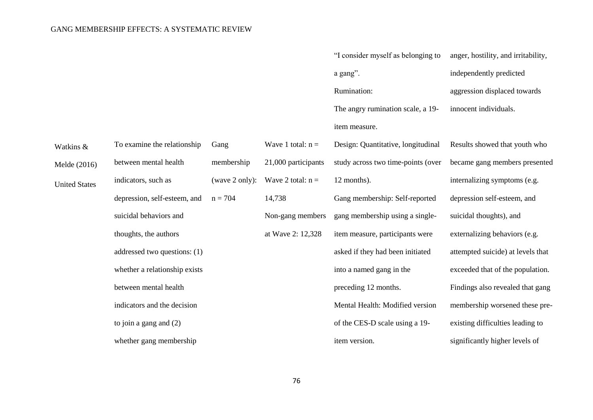|                      |                               |                |                     | "I consider myself as belonging to | anger, hostility, and irritability, |
|----------------------|-------------------------------|----------------|---------------------|------------------------------------|-------------------------------------|
|                      |                               |                |                     | a gang".                           | independently predicted             |
|                      |                               |                |                     | Rumination:                        | aggression displaced towards        |
|                      |                               |                |                     | The angry rumination scale, a 19-  | innocent individuals.               |
|                      |                               |                |                     | item measure.                      |                                     |
| Watkins &            | To examine the relationship   | Gang           | Wave 1 total: $n =$ | Design: Quantitative, longitudinal | Results showed that youth who       |
| Melde (2016)         | between mental health         | membership     | 21,000 participants | study across two time-points (over | became gang members presented       |
| <b>United States</b> | indicators, such as           | (wave 2 only): | Wave 2 total: $n =$ | 12 months).                        | internalizing symptoms (e.g.        |
|                      | depression, self-esteem, and  | $n = 704$      | 14,738              | Gang membership: Self-reported     | depression self-esteem, and         |
|                      | suicidal behaviors and        |                | Non-gang members    | gang membership using a single-    | suicidal thoughts), and             |
|                      | thoughts, the authors         |                | at Wave 2: 12,328   | item measure, participants were    | externalizing behaviors (e.g.       |
|                      | addressed two questions: (1)  |                |                     | asked if they had been initiated   | attempted suicide) at levels that   |
|                      | whether a relationship exists |                |                     | into a named gang in the           | exceeded that of the population.    |
|                      | between mental health         |                |                     | preceding 12 months.               | Findings also revealed that gang    |
|                      | indicators and the decision   |                |                     | Mental Health: Modified version    | membership worsened these pre-      |
|                      | to join a gang and $(2)$      |                |                     | of the CES-D scale using a 19-     | existing difficulties leading to    |
|                      | whether gang membership       |                |                     | item version.                      | significantly higher levels of      |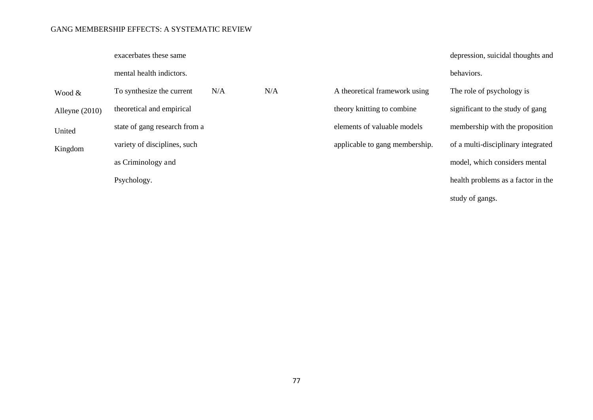exacerbates these same

mental health indictors.

| Wood &           | To synthesize the current     | N/A | N/A |
|------------------|-------------------------------|-----|-----|
| Alleyne $(2010)$ | theoretical and empirical     |     |     |
| United           | state of gang research from a |     |     |
| Kingdom          | variety of disciplines, such  |     |     |
|                  | as Criminology and            |     |     |
|                  | Psychology.                   |     |     |

behaviors. A theoretical framework using theory knitting to combine elements of valuable models applicable to gang membership. The role of psychology is significant to the study of gang membership with the proposition of a multi-disciplinary integrated model, which considers mental health problems as a factor in the

depression, suicidal thoughts and

study of gangs.

77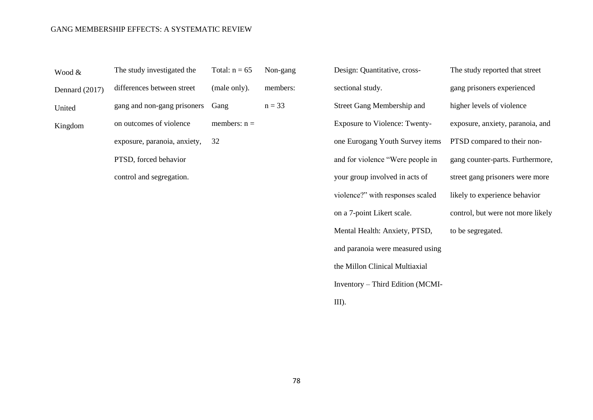| Wood &         | The study investigated the   | Total: $n = 65$ | Non-gang |
|----------------|------------------------------|-----------------|----------|
| Dennard (2017) | differences between street   | (male only).    | members: |
| United         | gang and non-gang prisoners  | Gang            | $n = 33$ |
| Kingdom        | on outcomes of violence      | members: $n =$  |          |
|                | exposure, paranoia, anxiety, | 32              |          |
|                | PTSD, forced behavior        |                 |          |
|                | control and segregation.     |                 |          |
|                |                              |                 |          |

Design: Quantitative, crosssectional study. Street Gang Membership and Exposure to Violence: Twentyone Eurogang Youth Survey items and for violence "Were people in your group involved in acts of violence?" with responses scaled on a 7-point Likert scale. Mental Health: Anxiety, PTSD, and paranoia were measured using the Millon Clinical Multiaxial Inventory – Third Edition (MCMI-III).

The study reported that street gang prisoners experienced higher levels of violence exposure, anxiety, paranoia, and PTSD compared to their nongang counter-parts. Furthermore, street gang prisoners were more likely to experience behavior control, but were not more likely to be segregated.